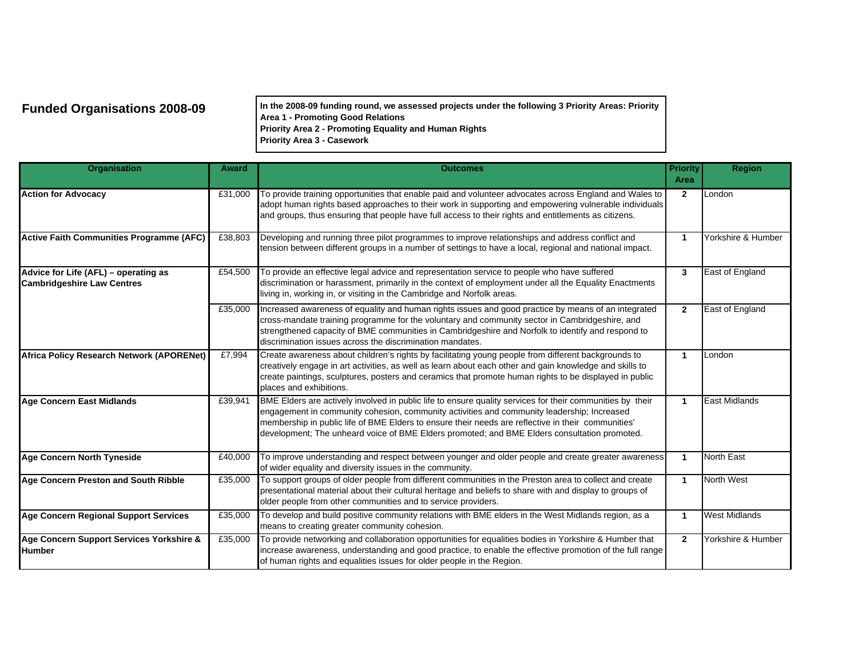**Funded Organisations 2008-09 In the 2008-09 funding round, we assessed projects under the following 3 Priority Areas: Priority Area 1 - Promoting Good Relations Priority Area 2 - Promoting Equality and Human Rights Priority Area 3 - Casework**

| <b>Organisation</b>                                                       | Award   | <b>Outcomes</b>                                                                                                                                                                                                                                                                                                                                                                                               | <b>Priority</b><br>Area | <b>Region</b>        |
|---------------------------------------------------------------------------|---------|---------------------------------------------------------------------------------------------------------------------------------------------------------------------------------------------------------------------------------------------------------------------------------------------------------------------------------------------------------------------------------------------------------------|-------------------------|----------------------|
| <b>Action for Advocacy</b>                                                | £31,000 | To provide training opportunities that enable paid and volunteer advocates across England and Wales to<br>adopt human rights based approaches to their work in supporting and empowering vulnerable individuals<br>and groups, thus ensuring that people have full access to their rights and entitlements as citizens.                                                                                       | $\mathbf{2}$            | London               |
| <b>Active Faith Communities Programme (AFC)</b>                           | £38,803 | Developing and running three pilot programmes to improve relationships and address conflict and<br>tension between different groups in a number of settings to have a local, regional and national impact.                                                                                                                                                                                                    | $\mathbf{1}$            | Yorkshire & Humber   |
| Advice for Life (AFL) - operating as<br><b>Cambridgeshire Law Centres</b> | £54,500 | To provide an effective legal advice and representation service to people who have suffered<br>discrimination or harassment, primarily in the context of employment under all the Equality Enactments<br>living in, working in, or visiting in the Cambridge and Norfolk areas.                                                                                                                               | 3                       | East of England      |
|                                                                           | £35,000 | Increased awareness of equality and human rights issues and good practice by means of an integrated<br>cross-mandate training programme for the voluntary and community sector in Cambridgeshire, and<br>strengthened capacity of BME communities in Cambridgeshire and Norfolk to identify and respond to<br>discrimination issues across the discrimination mandates.                                       | $\overline{2}$          | East of England      |
| <b>Africa Policy Research Network (APORENet)</b>                          | £7,994  | Create awareness about children's rights by facilitating young people from different backgrounds to<br>creatively engage in art activities, as well as learn about each other and gain knowledge and skills to<br>create paintings, sculptures, posters and ceramics that promote human rights to be displayed in public<br>places and exhibitions.                                                           | $\mathbf{1}$            | London               |
| <b>Age Concern East Midlands</b>                                          | £39,941 | BME Elders are actively involved in public life to ensure quality services for their communities by their<br>engagement in community cohesion, community activities and community leadership; Increased<br>membership in public life of BME Elders to ensure their needs are reflective in their communities'<br>development; The unheard voice of BME Elders promoted; and BME Elders consultation promoted. | 1                       | <b>East Midlands</b> |
| <b>Age Concern North Tyneside</b>                                         | £40,000 | To improve understanding and respect between younger and older people and create greater awareness<br>of wider equality and diversity issues in the community.                                                                                                                                                                                                                                                | $\mathbf{1}$            | <b>North East</b>    |
| Age Concern Preston and South Ribble                                      | £35,000 | To support groups of older people from different communities in the Preston area to collect and create<br>presentational material about their cultural heritage and beliefs to share with and display to groups of<br>older people from other communities and to service providers.                                                                                                                           | $\mathbf{1}$            | North West           |
| Age Concern Regional Support Services                                     | £35,000 | To develop and build positive community relations with BME elders in the West Midlands region, as a<br>means to creating greater community cohesion.                                                                                                                                                                                                                                                          | 1                       | <b>West Midlands</b> |
| Age Concern Support Services Yorkshire &<br><b>Humber</b>                 | £35,000 | To provide networking and collaboration opportunities for equalities bodies in Yorkshire & Humber that<br>increase awareness, understanding and good practice, to enable the effective promotion of the full range<br>of human rights and equalities issues for older people in the Region.                                                                                                                   | $\mathbf{2}$            | Yorkshire & Humber   |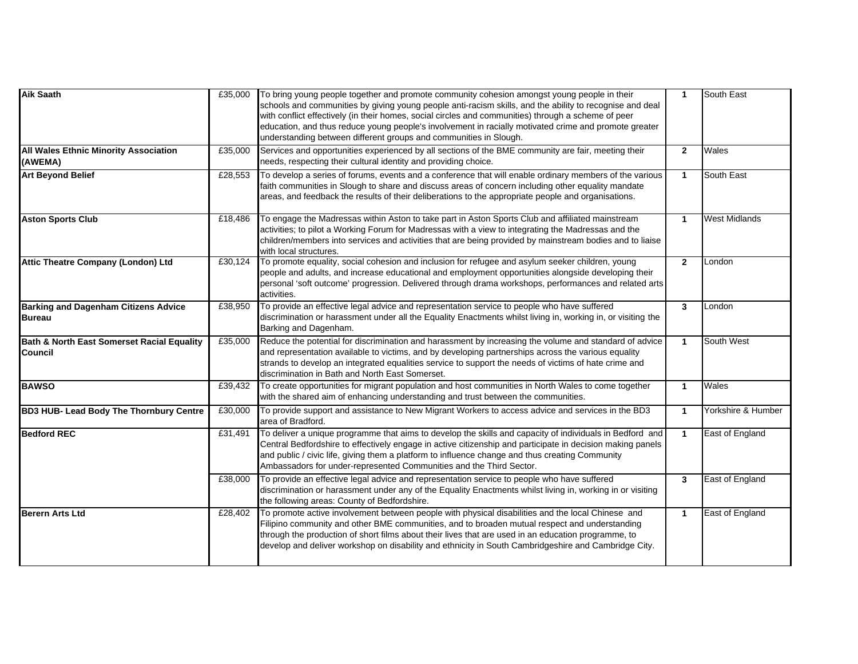| <b>Aik Saath</b>                                             | £35,000 | To bring young people together and promote community cohesion amongst young people in their<br>schools and communities by giving young people anti-racism skills, and the ability to recognise and deal<br>with conflict effectively (in their homes, social circles and communities) through a scheme of peer<br>education, and thus reduce young people's involvement in racially motivated crime and promote greater<br>understanding between different groups and communities in Slough. | $\mathbf{1}$   | South East           |
|--------------------------------------------------------------|---------|----------------------------------------------------------------------------------------------------------------------------------------------------------------------------------------------------------------------------------------------------------------------------------------------------------------------------------------------------------------------------------------------------------------------------------------------------------------------------------------------|----------------|----------------------|
| All Wales Ethnic Minority Association<br>(AWEMA)             | £35,000 | Services and opportunities experienced by all sections of the BME community are fair, meeting their<br>needs, respecting their cultural identity and providing choice.                                                                                                                                                                                                                                                                                                                       | $\overline{2}$ | Wales                |
| <b>Art Beyond Belief</b>                                     | £28,553 | To develop a series of forums, events and a conference that will enable ordinary members of the various<br>faith communities in Slough to share and discuss areas of concern including other equality mandate<br>areas, and feedback the results of their deliberations to the appropriate people and organisations.                                                                                                                                                                         | $\mathbf{1}$   | South East           |
| <b>Aston Sports Club</b>                                     | £18,486 | To engage the Madressas within Aston to take part in Aston Sports Club and affiliated mainstream<br>activities; to pilot a Working Forum for Madressas with a view to integrating the Madressas and the<br>children/members into services and activities that are being provided by mainstream bodies and to liaise<br>with local structures.                                                                                                                                                | $\mathbf{1}$   | <b>West Midlands</b> |
| Attic Theatre Company (London) Ltd                           | £30,124 | To promote equality, social cohesion and inclusion for refugee and asylum seeker children, young<br>people and adults, and increase educational and employment opportunities alongside developing their<br>personal 'soft outcome' progression. Delivered through drama workshops, performances and related arts<br>activities.                                                                                                                                                              | $\overline{2}$ | London               |
| <b>Barking and Dagenham Citizens Advice</b><br>Bureau        | £38,950 | To provide an effective legal advice and representation service to people who have suffered<br>discrimination or harassment under all the Equality Enactments whilst living in, working in, or visiting the<br>Barking and Dagenham.                                                                                                                                                                                                                                                         | 3              | London               |
| Bath & North East Somerset Racial Equality<br><b>Council</b> | £35,000 | Reduce the potential for discrimination and harassment by increasing the volume and standard of advice<br>and representation available to victims, and by developing partnerships across the various equality<br>strands to develop an integrated equalities service to support the needs of victims of hate crime and<br>discrimination in Bath and North East Somerset.                                                                                                                    | $\mathbf{1}$   | South West           |
| <b>BAWSO</b>                                                 | £39,432 | To create opportunities for migrant population and host communities in North Wales to come together<br>with the shared aim of enhancing understanding and trust between the communities.                                                                                                                                                                                                                                                                                                     | $\mathbf{1}$   | Wales                |
| <b>BD3 HUB- Lead Body The Thornbury Centre</b>               | £30,000 | To provide support and assistance to New Migrant Workers to access advice and services in the BD3<br>area of Bradford.                                                                                                                                                                                                                                                                                                                                                                       | $\mathbf{1}$   | Yorkshire & Humber   |
| <b>Bedford REC</b>                                           | £31,491 | To deliver a unique programme that aims to develop the skills and capacity of individuals in Bedford and<br>Central Bedfordshire to effectively engage in active citizenship and participate in decision making panels<br>and public / civic life, giving them a platform to influence change and thus creating Community<br>Ambassadors for under-represented Communities and the Third Sector.                                                                                             | $\mathbf{1}$   | East of England      |
|                                                              | £38,000 | To provide an effective legal advice and representation service to people who have suffered<br>discrimination or harassment under any of the Equality Enactments whilst living in, working in or visiting<br>the following areas: County of Bedfordshire.                                                                                                                                                                                                                                    | 3              | East of England      |
| <b>Berern Arts Ltd</b>                                       | £28,402 | To promote active involvement between people with physical disabilities and the local Chinese and<br>Filipino community and other BME communities, and to broaden mutual respect and understanding<br>through the production of short films about their lives that are used in an education programme, to<br>develop and deliver workshop on disability and ethnicity in South Cambridgeshire and Cambridge City.                                                                            | $\mathbf{1}$   | East of England      |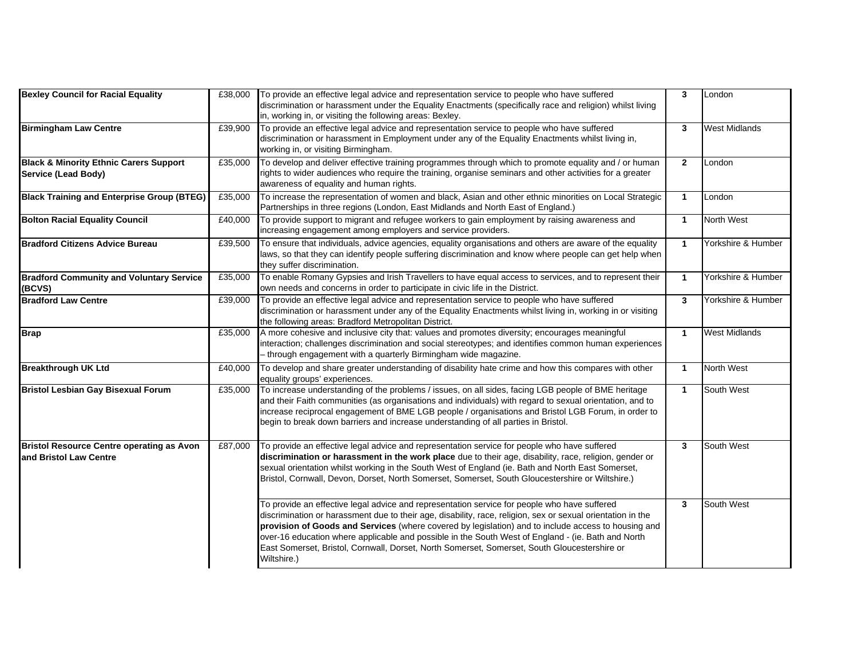| <b>Bexley Council for Racial Equality</b>                                  | £38,000 | To provide an effective legal advice and representation service to people who have suffered<br>discrimination or harassment under the Equality Enactments (specifically race and religion) whilst living<br>in, working in, or visiting the following areas: Bexley.                                                                                                                                                                                                                                                                    | $\overline{3}$ | London               |
|----------------------------------------------------------------------------|---------|-----------------------------------------------------------------------------------------------------------------------------------------------------------------------------------------------------------------------------------------------------------------------------------------------------------------------------------------------------------------------------------------------------------------------------------------------------------------------------------------------------------------------------------------|----------------|----------------------|
| <b>Birmingham Law Centre</b>                                               | £39,900 | To provide an effective legal advice and representation service to people who have suffered<br>discrimination or harassment in Employment under any of the Equality Enactments whilst living in,<br>working in, or visiting Birmingham.                                                                                                                                                                                                                                                                                                 | 3              | West Midlands        |
| <b>Black &amp; Minority Ethnic Carers Support</b><br>Service (Lead Body)   | £35,000 | To develop and deliver effective training programmes through which to promote equality and / or human<br>rights to wider audiences who require the training, organise seminars and other activities for a greater<br>awareness of equality and human rights.                                                                                                                                                                                                                                                                            | $\mathbf{2}$   | London               |
| <b>Black Training and Enterprise Group (BTEG)</b>                          | £35,000 | To increase the representation of women and black, Asian and other ethnic minorities on Local Strategic<br>Partnerships in three regions (London, East Midlands and North East of England.)                                                                                                                                                                                                                                                                                                                                             | $\mathbf{1}$   | London               |
| <b>Bolton Racial Equality Council</b>                                      | £40,000 | To provide support to migrant and refugee workers to gain employment by raising awareness and<br>increasing engagement among employers and service providers.                                                                                                                                                                                                                                                                                                                                                                           | $\overline{1}$ | <b>North West</b>    |
| <b>Bradford Citizens Advice Bureau</b>                                     | £39,500 | To ensure that individuals, advice agencies, equality organisations and others are aware of the equality<br>laws, so that they can identify people suffering discrimination and know where people can get help when<br>they suffer discrimination.                                                                                                                                                                                                                                                                                      | $\mathbf{1}$   | Yorkshire & Humber   |
| <b>Bradford Community and Voluntary Service</b><br>(BCVS)                  | £35,000 | To enable Romany Gypsies and Irish Travellers to have equal access to services, and to represent their<br>own needs and concerns in order to participate in civic life in the District.                                                                                                                                                                                                                                                                                                                                                 | $\overline{1}$ | Yorkshire & Humber   |
| <b>Bradford Law Centre</b>                                                 | £39,000 | To provide an effective legal advice and representation service to people who have suffered<br>discrimination or harassment under any of the Equality Enactments whilst living in, working in or visiting<br>the following areas: Bradford Metropolitan District.                                                                                                                                                                                                                                                                       | $\overline{3}$ | Yorkshire & Humber   |
| <b>Brap</b>                                                                | £35,000 | A more cohesive and inclusive city that: values and promotes diversity; encourages meaningful<br>interaction; challenges discrimination and social stereotypes; and identifies common human experiences<br>- through engagement with a quarterly Birmingham wide magazine.                                                                                                                                                                                                                                                              | $\overline{1}$ | <b>West Midlands</b> |
| <b>Breakthrough UK Ltd</b>                                                 | £40,000 | To develop and share greater understanding of disability hate crime and how this compares with other<br>equality groups' experiences.                                                                                                                                                                                                                                                                                                                                                                                                   | $\overline{1}$ | North West           |
| <b>Bristol Lesbian Gay Bisexual Forum</b>                                  | £35,000 | To increase understanding of the problems / issues, on all sides, facing LGB people of BME heritage<br>and their Faith communities (as organisations and individuals) with regard to sexual orientation, and to<br>increase reciprocal engagement of BME LGB people / organisations and Bristol LGB Forum, in order to<br>begin to break down barriers and increase understanding of all parties in Bristol.                                                                                                                            | $\mathbf{1}$   | South West           |
| <b>Bristol Resource Centre operating as Avon</b><br>and Bristol Law Centre | £87,000 | To provide an effective legal advice and representation service for people who have suffered<br>discrimination or harassment in the work place due to their age, disability, race, religion, gender or<br>sexual orientation whilst working in the South West of England (ie. Bath and North East Somerset,<br>Bristol, Cornwall, Devon, Dorset, North Somerset, Somerset, South Gloucestershire or Wiltshire.)                                                                                                                         | $\mathbf{3}$   | South West           |
|                                                                            |         | To provide an effective legal advice and representation service for people who have suffered<br>discrimination or harassment due to their age, disability, race, religion, sex or sexual orientation in the<br>provision of Goods and Services (where covered by legislation) and to include access to housing and<br>over-16 education where applicable and possible in the South West of England - (ie. Bath and North<br>East Somerset, Bristol, Cornwall, Dorset, North Somerset, Somerset, South Gloucestershire or<br>Wiltshire.) | $\mathbf{3}$   | South West           |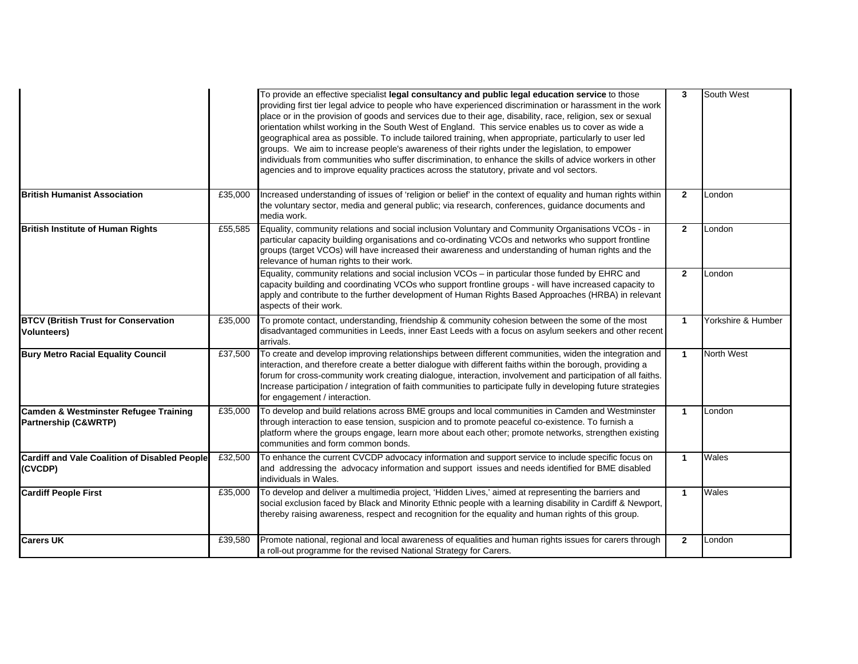|                                                                          |         | To provide an effective specialist legal consultancy and public legal education service to those<br>providing first tier legal advice to people who have experienced discrimination or harassment in the work<br>place or in the provision of goods and services due to their age, disability, race, religion, sex or sexual<br>orientation whilst working in the South West of England. This service enables us to cover as wide a<br>geographical area as possible. To include tailored training, when appropriate, particularly to user led<br>groups. We aim to increase people's awareness of their rights under the legislation, to empower<br>individuals from communities who suffer discrimination, to enhance the skills of advice workers in other<br>agencies and to improve equality practices across the statutory, private and vol sectors. | $\mathbf{3}$   | South West         |
|--------------------------------------------------------------------------|---------|------------------------------------------------------------------------------------------------------------------------------------------------------------------------------------------------------------------------------------------------------------------------------------------------------------------------------------------------------------------------------------------------------------------------------------------------------------------------------------------------------------------------------------------------------------------------------------------------------------------------------------------------------------------------------------------------------------------------------------------------------------------------------------------------------------------------------------------------------------|----------------|--------------------|
| <b>British Humanist Association</b>                                      | £35,000 | Increased understanding of issues of 'religion or belief' in the context of equality and human rights within<br>the voluntary sector, media and general public; via research, conferences, guidance documents and<br>media work.                                                                                                                                                                                                                                                                                                                                                                                                                                                                                                                                                                                                                           | $\overline{2}$ | London             |
| <b>British Institute of Human Rights</b>                                 | £55,585 | Equality, community relations and social inclusion Voluntary and Community Organisations VCOs - in<br>particular capacity building organisations and co-ordinating VCOs and networks who support frontline<br>groups (target VCOs) will have increased their awareness and understanding of human rights and the<br>relevance of human rights to their work.                                                                                                                                                                                                                                                                                                                                                                                                                                                                                               | $\overline{2}$ | London             |
|                                                                          |         | Equality, community relations and social inclusion VCOs - in particular those funded by EHRC and<br>capacity building and coordinating VCOs who support frontline groups - will have increased capacity to<br>apply and contribute to the further development of Human Rights Based Approaches (HRBA) in relevant<br>aspects of their work.                                                                                                                                                                                                                                                                                                                                                                                                                                                                                                                | $\overline{2}$ | London             |
| <b>BTCV (British Trust for Conservation</b><br><b>Volunteers)</b>        | £35,000 | To promote contact, understanding, friendship & community cohesion between the some of the most<br>disadvantaged communities in Leeds, inner East Leeds with a focus on asylum seekers and other recent<br>arrivals.                                                                                                                                                                                                                                                                                                                                                                                                                                                                                                                                                                                                                                       | $\mathbf{1}$   | Yorkshire & Humber |
| <b>Bury Metro Racial Equality Council</b>                                | £37,500 | To create and develop improving relationships between different communities, widen the integration and<br>interaction, and therefore create a better dialogue with different faiths within the borough, providing a<br>forum for cross-community work creating dialogue, interaction, involvement and participation of all faiths.<br>Increase participation / integration of faith communities to participate fully in developing future strategies<br>for engagement / interaction.                                                                                                                                                                                                                                                                                                                                                                      | $\mathbf{1}$   | <b>North West</b>  |
| Camden & Westminster Refugee Training<br><b>Partnership (C&amp;WRTP)</b> | £35,000 | To develop and build relations across BME groups and local communities in Camden and Westminster<br>through interaction to ease tension, suspicion and to promote peaceful co-existence. To furnish a<br>platform where the groups engage, learn more about each other; promote networks, strengthen existing<br>communities and form common bonds.                                                                                                                                                                                                                                                                                                                                                                                                                                                                                                        | $\mathbf{1}$   | London             |
| Cardiff and Vale Coalition of Disabled People<br>(CVCDP)                 | £32,500 | To enhance the current CVCDP advocacy information and support service to include specific focus on<br>and addressing the advocacy information and support issues and needs identified for BME disabled<br>individuals in Wales.                                                                                                                                                                                                                                                                                                                                                                                                                                                                                                                                                                                                                            | $\mathbf{1}$   | Wales              |
| <b>Cardiff People First</b>                                              | £35,000 | To develop and deliver a multimedia project, 'Hidden Lives,' aimed at representing the barriers and<br>social exclusion faced by Black and Minority Ethnic people with a learning disability in Cardiff & Newport,<br>thereby raising awareness, respect and recognition for the equality and human rights of this group.                                                                                                                                                                                                                                                                                                                                                                                                                                                                                                                                  | $\mathbf{1}$   | Wales              |
| <b>Carers UK</b>                                                         | £39,580 | Promote national, regional and local awareness of equalities and human rights issues for carers through<br>a roll-out programme for the revised National Strategy for Carers.                                                                                                                                                                                                                                                                                                                                                                                                                                                                                                                                                                                                                                                                              | $\mathbf{2}$   | London             |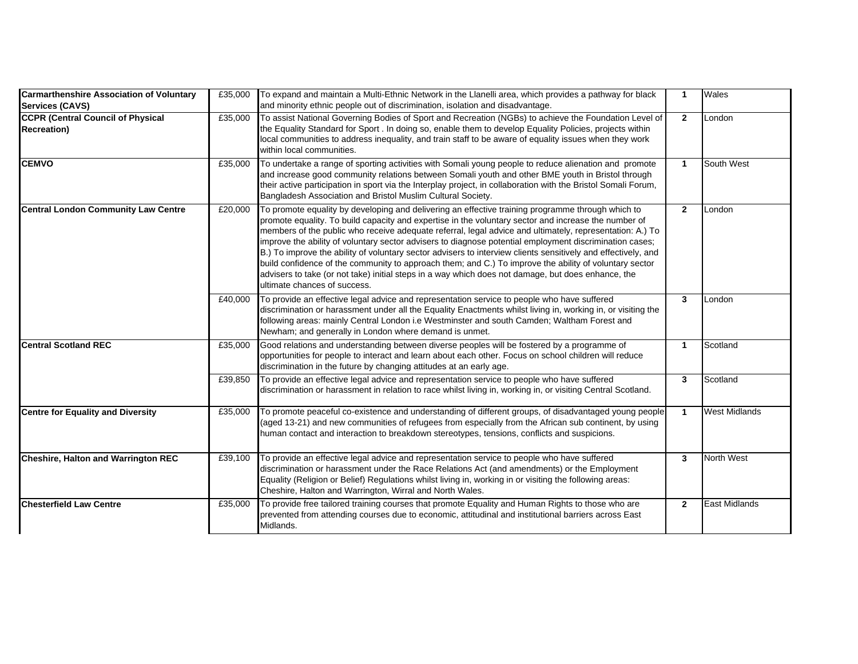| <b>Carmarthenshire Association of Voluntary</b><br><b>Services (CAVS)</b> | £35,000 | To expand and maintain a Multi-Ethnic Network in the Llanelli area, which provides a pathway for black<br>and minority ethnic people out of discrimination, isolation and disadvantage.                                                                                                                                                                                                                                                                                                                                                                                                                                                                                                                                                                                                           | $\mathbf{1}$   | Wales                |
|---------------------------------------------------------------------------|---------|---------------------------------------------------------------------------------------------------------------------------------------------------------------------------------------------------------------------------------------------------------------------------------------------------------------------------------------------------------------------------------------------------------------------------------------------------------------------------------------------------------------------------------------------------------------------------------------------------------------------------------------------------------------------------------------------------------------------------------------------------------------------------------------------------|----------------|----------------------|
| <b>CCPR (Central Council of Physical</b><br><b>Recreation</b> )           | £35,000 | To assist National Governing Bodies of Sport and Recreation (NGBs) to achieve the Foundation Level of<br>the Equality Standard for Sport . In doing so, enable them to develop Equality Policies, projects within<br>local communities to address inequality, and train staff to be aware of equality issues when they work<br>within local communities.                                                                                                                                                                                                                                                                                                                                                                                                                                          | $\mathbf{2}$   | London               |
| <b>CEMVO</b>                                                              | £35,000 | To undertake a range of sporting activities with Somali young people to reduce alienation and promote<br>and increase good community relations between Somali youth and other BME youth in Bristol through<br>their active participation in sport via the Interplay project, in collaboration with the Bristol Somali Forum,<br>Bangladesh Association and Bristol Muslim Cultural Society.                                                                                                                                                                                                                                                                                                                                                                                                       | $\mathbf{1}$   | South West           |
| <b>Central London Community Law Centre</b>                                | £20,000 | To promote equality by developing and delivering an effective training programme through which to<br>promote equality. To build capacity and expertise in the voluntary sector and increase the number of<br>members of the public who receive adequate referral, legal advice and ultimately, representation: A.) To<br>improve the ability of voluntary sector advisers to diagnose potential employment discrimination cases;<br>B.) To improve the ability of voluntary sector advisers to interview clients sensitively and effectively, and<br>build confidence of the community to approach them; and C.) To improve the ability of voluntary sector<br>advisers to take (or not take) initial steps in a way which does not damage, but does enhance, the<br>ultimate chances of success. | $\overline{2}$ | London               |
|                                                                           | £40,000 | To provide an effective legal advice and representation service to people who have suffered<br>discrimination or harassment under all the Equality Enactments whilst living in, working in, or visiting the<br>following areas: mainly Central London i.e Westminster and south Camden; Waltham Forest and<br>Newham; and generally in London where demand is unmet.                                                                                                                                                                                                                                                                                                                                                                                                                              | $\mathbf{3}$   | London               |
| <b>Central Scotland REC</b>                                               | £35,000 | Good relations and understanding between diverse peoples will be fostered by a programme of<br>opportunities for people to interact and learn about each other. Focus on school children will reduce<br>discrimination in the future by changing attitudes at an early age.                                                                                                                                                                                                                                                                                                                                                                                                                                                                                                                       | $\mathbf{1}$   | Scotland             |
|                                                                           | £39,850 | To provide an effective legal advice and representation service to people who have suffered<br>discrimination or harassment in relation to race whilst living in, working in, or visiting Central Scotland.                                                                                                                                                                                                                                                                                                                                                                                                                                                                                                                                                                                       | 3              | Scotland             |
| <b>Centre for Equality and Diversity</b>                                  | £35,000 | To promote peaceful co-existence and understanding of different groups, of disadvantaged young people<br>(aged 13-21) and new communities of refugees from especially from the African sub continent, by using<br>human contact and interaction to breakdown stereotypes, tensions, conflicts and suspicions.                                                                                                                                                                                                                                                                                                                                                                                                                                                                                     | $\mathbf{1}$   | <b>West Midlands</b> |
| <b>Cheshire, Halton and Warrington REC</b>                                | £39,100 | To provide an effective legal advice and representation service to people who have suffered<br>discrimination or harassment under the Race Relations Act (and amendments) or the Employment<br>Equality (Religion or Belief) Regulations whilst living in, working in or visiting the following areas:<br>Cheshire, Halton and Warrington, Wirral and North Wales.                                                                                                                                                                                                                                                                                                                                                                                                                                | 3              | <b>North West</b>    |
| <b>Chesterfield Law Centre</b>                                            | £35,000 | To provide free tailored training courses that promote Equality and Human Rights to those who are<br>prevented from attending courses due to economic, attitudinal and institutional barriers across East<br>Midlands.                                                                                                                                                                                                                                                                                                                                                                                                                                                                                                                                                                            | $\mathbf{2}$   | <b>East Midlands</b> |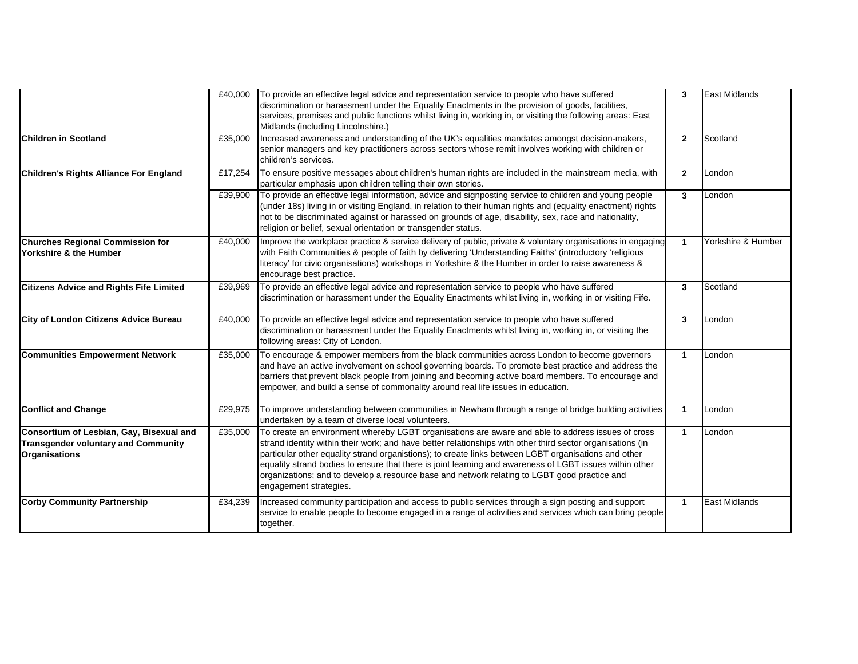|                                                                                                                |         | £40,000 To provide an effective legal advice and representation service to people who have suffered<br>discrimination or harassment under the Equality Enactments in the provision of goods, facilities,<br>services, premises and public functions whilst living in, working in, or visiting the following areas: East<br>Midlands (including Lincolnshire.)                                                                                                                                                                                                | $\mathbf{3}$         | East Midlands        |
|----------------------------------------------------------------------------------------------------------------|---------|--------------------------------------------------------------------------------------------------------------------------------------------------------------------------------------------------------------------------------------------------------------------------------------------------------------------------------------------------------------------------------------------------------------------------------------------------------------------------------------------------------------------------------------------------------------|----------------------|----------------------|
| <b>Children in Scotland</b>                                                                                    | £35,000 | Increased awareness and understanding of the UK's equalities mandates amongst decision-makers,<br>senior managers and key practitioners across sectors whose remit involves working with children or<br>children's services.                                                                                                                                                                                                                                                                                                                                 | $\overline{2}$       | Scotland             |
| <b>Children's Rights Alliance For England</b>                                                                  | £17,254 | To ensure positive messages about children's human rights are included in the mainstream media, with<br>particular emphasis upon children telling their own stories.                                                                                                                                                                                                                                                                                                                                                                                         | $\overline{2}$       | London               |
|                                                                                                                | £39,900 | To provide an effective legal information, advice and signposting service to children and young people<br>(under 18s) living in or visiting England, in relation to their human rights and (equality enactment) rights<br>not to be discriminated against or harassed on grounds of age, disability, sex, race and nationality,<br>religion or belief, sexual orientation or transgender status.                                                                                                                                                             | $\mathbf{3}$         | London               |
| <b>Churches Regional Commission for</b><br>Yorkshire & the Humber                                              | £40,000 | Improve the workplace practice & service delivery of public, private & voluntary organisations in engaging<br>with Faith Communities & people of faith by delivering 'Understanding Faiths' (introductory 'religious<br>literacy' for civic organisations) workshops in Yorkshire & the Humber in order to raise awareness &<br>encourage best practice.                                                                                                                                                                                                     | $\blacktriangleleft$ | Yorkshire & Humber   |
| <b>Citizens Advice and Rights Fife Limited</b>                                                                 | £39,969 | To provide an effective legal advice and representation service to people who have suffered<br>discrimination or harassment under the Equality Enactments whilst living in, working in or visiting Fife.                                                                                                                                                                                                                                                                                                                                                     | $\mathbf{3}$         | Scotland             |
| City of London Citizens Advice Bureau                                                                          | £40,000 | To provide an effective legal advice and representation service to people who have suffered<br>discrimination or harassment under the Equality Enactments whilst living in, working in, or visiting the<br>following areas: City of London.                                                                                                                                                                                                                                                                                                                  | $\mathbf{3}$         | London               |
| <b>Communities Empowerment Network</b>                                                                         | £35,000 | To encourage & empower members from the black communities across London to become governors<br>and have an active involvement on school governing boards. To promote best practice and address the<br>barriers that prevent black people from joining and becoming active board members. To encourage and<br>empower, and build a sense of commonality around real life issues in education.                                                                                                                                                                 | $\blacktriangleleft$ | London               |
| <b>Conflict and Change</b>                                                                                     | £29,975 | To improve understanding between communities in Newham through a range of bridge building activities<br>undertaken by a team of diverse local volunteers.                                                                                                                                                                                                                                                                                                                                                                                                    | $\blacktriangleleft$ | London               |
| Consortium of Lesbian, Gay, Bisexual and<br><b>Transgender voluntary and Community</b><br><b>Organisations</b> | £35,000 | To create an environment whereby LGBT organisations are aware and able to address issues of cross<br>strand identity within their work; and have better relationships with other third sector organisations (in<br>particular other equality strand organistions); to create links between LGBT organisations and other<br>equality strand bodies to ensure that there is joint learning and awareness of LGBT issues within other<br>organizations; and to develop a resource base and network relating to LGBT good practice and<br>engagement strategies. | $\mathbf{1}$         | London               |
| <b>Corby Community Partnership</b>                                                                             | £34,239 | Increased community participation and access to public services through a sign posting and support<br>service to enable people to become engaged in a range of activities and services which can bring people<br>together.                                                                                                                                                                                                                                                                                                                                   | $\mathbf{1}$         | <b>East Midlands</b> |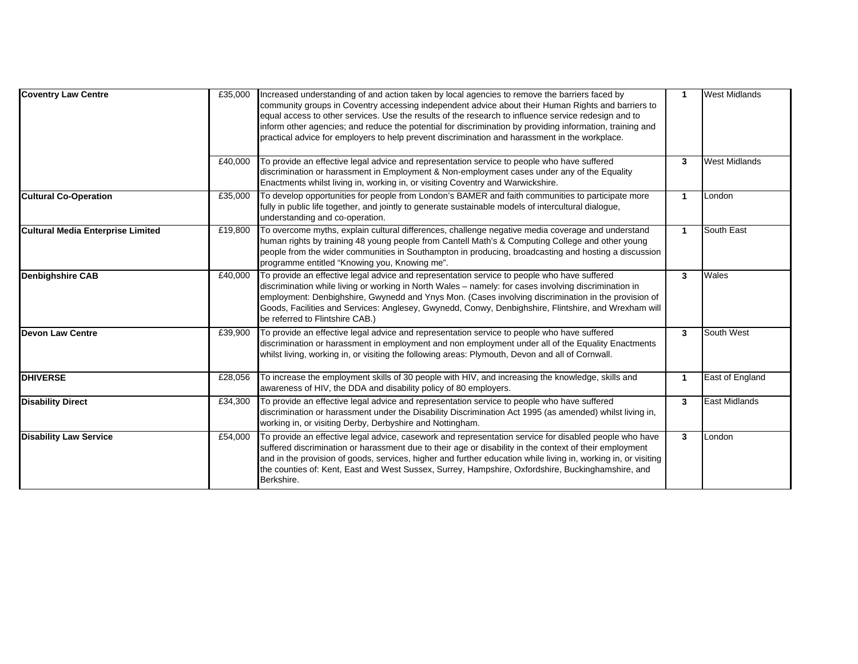| <b>Coventry Law Centre</b>               | £35,000 | Increased understanding of and action taken by local agencies to remove the barriers faced by<br>community groups in Coventry accessing independent advice about their Human Rights and barriers to<br>equal access to other services. Use the results of the research to influence service redesign and to<br>inform other agencies; and reduce the potential for discrimination by providing information, training and<br>practical advice for employers to help prevent discrimination and harassment in the workplace. | -1                   | <b>West Midlands</b> |
|------------------------------------------|---------|----------------------------------------------------------------------------------------------------------------------------------------------------------------------------------------------------------------------------------------------------------------------------------------------------------------------------------------------------------------------------------------------------------------------------------------------------------------------------------------------------------------------------|----------------------|----------------------|
|                                          | £40,000 | To provide an effective legal advice and representation service to people who have suffered<br>discrimination or harassment in Employment & Non-employment cases under any of the Equality<br>Enactments whilst living in, working in, or visiting Coventry and Warwickshire.                                                                                                                                                                                                                                              | 3                    | <b>West Midlands</b> |
| <b>Cultural Co-Operation</b>             | £35,000 | To develop opportunities for people from London's BAMER and faith communities to participate more<br>fully in public life together, and jointly to generate sustainable models of intercultural dialogue,<br>understanding and co-operation.                                                                                                                                                                                                                                                                               | $\blacktriangleleft$ | London               |
| <b>Cultural Media Enterprise Limited</b> | £19,800 | To overcome myths, explain cultural differences, challenge negative media coverage and understand<br>human rights by training 48 young people from Cantell Math's & Computing College and other young<br>people from the wider communities in Southampton in producing, broadcasting and hosting a discussion<br>programme entitled "Knowing you, Knowing me".                                                                                                                                                             | $\blacktriangleleft$ | South East           |
| <b>Denbighshire CAB</b>                  | £40,000 | To provide an effective legal advice and representation service to people who have suffered<br>discrimination while living or working in North Wales - namely: for cases involving discrimination in<br>employment: Denbighshire, Gwynedd and Ynys Mon. (Cases involving discrimination in the provision of<br>Goods, Facilities and Services: Anglesey, Gwynedd, Conwy, Denbighshire, Flintshire, and Wrexham will<br>be referred to Flintshire CAB.)                                                                     | 3                    | Wales                |
| Devon Law Centre                         | £39,900 | To provide an effective legal advice and representation service to people who have suffered<br>discrimination or harassment in employment and non employment under all of the Equality Enactments<br>whilst living, working in, or visiting the following areas: Plymouth, Devon and all of Cornwall.                                                                                                                                                                                                                      | 3                    | South West           |
| <b>DHIVERSE</b>                          | £28,056 | To increase the employment skills of 30 people with HIV, and increasing the knowledge, skills and<br>awareness of HIV, the DDA and disability policy of 80 employers.                                                                                                                                                                                                                                                                                                                                                      | -1                   | East of England      |
| <b>Disability Direct</b>                 | £34,300 | To provide an effective legal advice and representation service to people who have suffered<br>discrimination or harassment under the Disability Discrimination Act 1995 (as amended) whilst living in,<br>working in, or visiting Derby, Derbyshire and Nottingham.                                                                                                                                                                                                                                                       | 3                    | <b>East Midlands</b> |
| <b>Disability Law Service</b>            | £54,000 | To provide an effective legal advice, casework and representation service for disabled people who have<br>suffered discrimination or harassment due to their age or disability in the context of their employment<br>and in the provision of goods, services, higher and further education while living in, working in, or visiting<br>the counties of: Kent, East and West Sussex, Surrey, Hampshire, Oxfordshire, Buckinghamshire, and<br>Berkshire.                                                                     | 3                    | London               |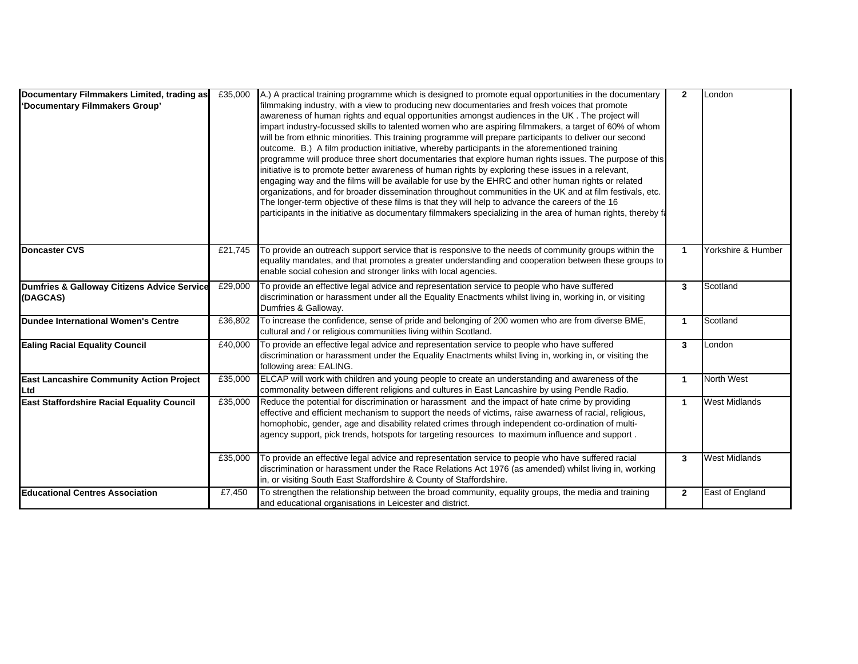| Documentary Filmmakers Limited, trading as<br>'Documentary Filmmakers Group' | £35,000 | A.) A practical training programme which is designed to promote equal opportunities in the documentary<br>filmmaking industry, with a view to producing new documentaries and fresh voices that promote<br>awareness of human rights and equal opportunities amongst audiences in the UK . The project will<br>impart industry-focussed skills to talented women who are aspiring filmmakers, a target of 60% of whom<br>will be from ethnic minorities. This training programme will prepare participants to deliver our second<br>outcome. B.) A film production initiative, whereby participants in the aforementioned training<br>programme will produce three short documentaries that explore human rights issues. The purpose of this<br>initiative is to promote better awareness of human rights by exploring these issues in a relevant,<br>engaging way and the films will be available for use by the EHRC and other human rights or related<br>organizations, and for broader dissemination throughout communities in the UK and at film festivals, etc.<br>The longer-term objective of these films is that they will help to advance the careers of the 16<br>participants in the initiative as documentary filmmakers specializing in the area of human rights, thereby fa | $\mathbf{2}$ | London               |
|------------------------------------------------------------------------------|---------|--------------------------------------------------------------------------------------------------------------------------------------------------------------------------------------------------------------------------------------------------------------------------------------------------------------------------------------------------------------------------------------------------------------------------------------------------------------------------------------------------------------------------------------------------------------------------------------------------------------------------------------------------------------------------------------------------------------------------------------------------------------------------------------------------------------------------------------------------------------------------------------------------------------------------------------------------------------------------------------------------------------------------------------------------------------------------------------------------------------------------------------------------------------------------------------------------------------------------------------------------------------------------------------------|--------------|----------------------|
| <b>Doncaster CVS</b>                                                         | £21,745 | To provide an outreach support service that is responsive to the needs of community groups within the<br>equality mandates, and that promotes a greater understanding and cooperation between these groups to<br>enable social cohesion and stronger links with local agencies.                                                                                                                                                                                                                                                                                                                                                                                                                                                                                                                                                                                                                                                                                                                                                                                                                                                                                                                                                                                                            | $\mathbf{1}$ | Yorkshire & Humber   |
| Dumfries & Galloway Citizens Advice Service<br>(DAGCAS)                      | £29,000 | To provide an effective legal advice and representation service to people who have suffered<br>discrimination or harassment under all the Equality Enactments whilst living in, working in, or visiting<br>Dumfries & Galloway.                                                                                                                                                                                                                                                                                                                                                                                                                                                                                                                                                                                                                                                                                                                                                                                                                                                                                                                                                                                                                                                            | $\mathbf{3}$ | Scotland             |
| Dundee International Women's Centre                                          | £36,802 | To increase the confidence, sense of pride and belonging of 200 women who are from diverse BME,<br>cultural and / or religious communities living within Scotland.                                                                                                                                                                                                                                                                                                                                                                                                                                                                                                                                                                                                                                                                                                                                                                                                                                                                                                                                                                                                                                                                                                                         | $\mathbf{1}$ | Scotland             |
| <b>Ealing Racial Equality Council</b>                                        | £40,000 | To provide an effective legal advice and representation service to people who have suffered<br>discrimination or harassment under the Equality Enactments whilst living in, working in, or visiting the<br>following area: EALING.                                                                                                                                                                                                                                                                                                                                                                                                                                                                                                                                                                                                                                                                                                                                                                                                                                                                                                                                                                                                                                                         | $\mathbf{3}$ | London               |
| <b>East Lancashire Community Action Project</b><br>Ltd                       | £35,000 | ELCAP will work with children and young people to create an understanding and awareness of the<br>commonality between different religions and cultures in East Lancashire by using Pendle Radio.                                                                                                                                                                                                                                                                                                                                                                                                                                                                                                                                                                                                                                                                                                                                                                                                                                                                                                                                                                                                                                                                                           | $\mathbf{1}$ | North West           |
| East Staffordshire Racial Equality Council                                   | £35,000 | Reduce the potential for discrimination or harassment and the impact of hate crime by providing<br>effective and efficient mechanism to support the needs of victims, raise awarness of racial, religious,<br>homophobic, gender, age and disability related crimes through independent co-ordination of multi-<br>agency support, pick trends, hotspots for targeting resources to maximum influence and support.                                                                                                                                                                                                                                                                                                                                                                                                                                                                                                                                                                                                                                                                                                                                                                                                                                                                         | $\mathbf{1}$ | <b>West Midlands</b> |
|                                                                              | £35,000 | To provide an effective legal advice and representation service to people who have suffered racial<br>discrimination or harassment under the Race Relations Act 1976 (as amended) whilst living in, working<br>in, or visiting South East Staffordshire & County of Staffordshire.                                                                                                                                                                                                                                                                                                                                                                                                                                                                                                                                                                                                                                                                                                                                                                                                                                                                                                                                                                                                         | $\mathbf{3}$ | <b>West Midlands</b> |
| <b>Educational Centres Association</b>                                       | £7,450  | To strengthen the relationship between the broad community, equality groups, the media and training<br>and educational organisations in Leicester and district.                                                                                                                                                                                                                                                                                                                                                                                                                                                                                                                                                                                                                                                                                                                                                                                                                                                                                                                                                                                                                                                                                                                            | $\mathbf{2}$ | East of England      |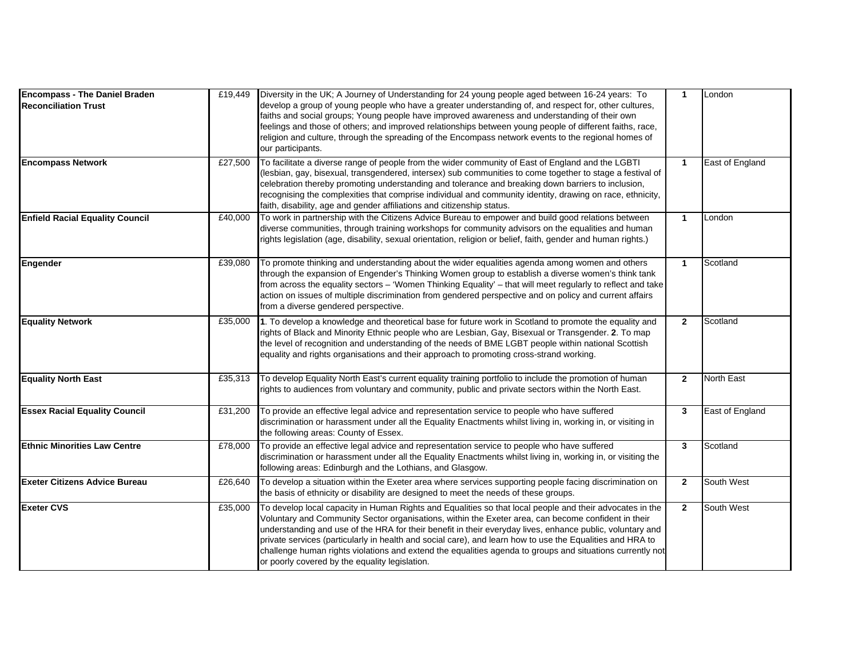| <b>Encompass - The Daniel Braden</b><br><b>Reconciliation Trust</b> | £19,449 | Diversity in the UK; A Journey of Understanding for 24 young people aged between 16-24 years: To<br>develop a group of young people who have a greater understanding of, and respect for, other cultures,<br>faiths and social groups; Young people have improved awareness and understanding of their own<br>feelings and those of others; and improved relationships between young people of different faiths, race,<br>religion and culture, through the spreading of the Encompass network events to the regional homes of<br>our participants.                                                      | $\mathbf{1}$ | London          |
|---------------------------------------------------------------------|---------|----------------------------------------------------------------------------------------------------------------------------------------------------------------------------------------------------------------------------------------------------------------------------------------------------------------------------------------------------------------------------------------------------------------------------------------------------------------------------------------------------------------------------------------------------------------------------------------------------------|--------------|-----------------|
| <b>Encompass Network</b>                                            | £27,500 | To facilitate a diverse range of people from the wider community of East of England and the LGBTI<br>(lesbian, gay, bisexual, transgendered, intersex) sub communities to come together to stage a festival of<br>celebration thereby promoting understanding and tolerance and breaking down barriers to inclusion,<br>recognising the complexities that comprise individual and community identity, drawing on race, ethnicity,<br>faith, disability, age and gender affiliations and citizenship status.                                                                                              | $\mathbf{1}$ | East of England |
| <b>Enfield Racial Equality Council</b>                              | £40,000 | To work in partnership with the Citizens Advice Bureau to empower and build good relations between<br>diverse communities, through training workshops for community advisors on the equalities and human<br>rights legislation (age, disability, sexual orientation, religion or belief, faith, gender and human rights.)                                                                                                                                                                                                                                                                                | $\mathbf{1}$ | London          |
| Engender                                                            | £39,080 | To promote thinking and understanding about the wider equalities agenda among women and others<br>through the expansion of Engender's Thinking Women group to establish a diverse women's think tank<br>from across the equality sectors – 'Women Thinking Equality' – that will meet regularly to reflect and take<br>action on issues of multiple discrimination from gendered perspective and on policy and current affairs<br>from a diverse gendered perspective.                                                                                                                                   | $\mathbf{1}$ | Scotland        |
| <b>Equality Network</b>                                             | £35,000 | 1. To develop a knowledge and theoretical base for future work in Scotland to promote the equality and<br>rights of Black and Minority Ethnic people who are Lesbian, Gay, Bisexual or Transgender. 2. To map<br>the level of recognition and understanding of the needs of BME LGBT people within national Scottish<br>equality and rights organisations and their approach to promoting cross-strand working.                                                                                                                                                                                          | $\mathbf{2}$ | Scotland        |
| <b>Equality North East</b>                                          | £35,313 | To develop Equality North East's current equality training portfolio to include the promotion of human<br>rights to audiences from voluntary and community, public and private sectors within the North East.                                                                                                                                                                                                                                                                                                                                                                                            | $\mathbf{2}$ | North East      |
| <b>Essex Racial Equality Council</b>                                | £31,200 | To provide an effective legal advice and representation service to people who have suffered<br>discrimination or harassment under all the Equality Enactments whilst living in, working in, or visiting in<br>the following areas: County of Essex.                                                                                                                                                                                                                                                                                                                                                      | 3            | East of England |
| <b>Ethnic Minorities Law Centre</b>                                 | £78,000 | To provide an effective legal advice and representation service to people who have suffered<br>discrimination or harassment under all the Equality Enactments whilst living in, working in, or visiting the<br>following areas: Edinburgh and the Lothians, and Glasgow.                                                                                                                                                                                                                                                                                                                                 | 3            | Scotland        |
| <b>Exeter Citizens Advice Bureau</b>                                | £26,640 | To develop a situation within the Exeter area where services supporting people facing discrimination on<br>the basis of ethnicity or disability are designed to meet the needs of these groups.                                                                                                                                                                                                                                                                                                                                                                                                          | $\mathbf{2}$ | South West      |
| <b>Exeter CVS</b>                                                   | £35,000 | To develop local capacity in Human Rights and Equalities so that local people and their advocates in the<br>Voluntary and Community Sector organisations, within the Exeter area, can become confident in their<br>understanding and use of the HRA for their benefit in their everyday lives, enhance public, voluntary and<br>private services (particularly in health and social care), and learn how to use the Equalities and HRA to<br>challenge human rights violations and extend the equalities agenda to groups and situations currently not<br>or poorly covered by the equality legislation. | $\mathbf{2}$ | South West      |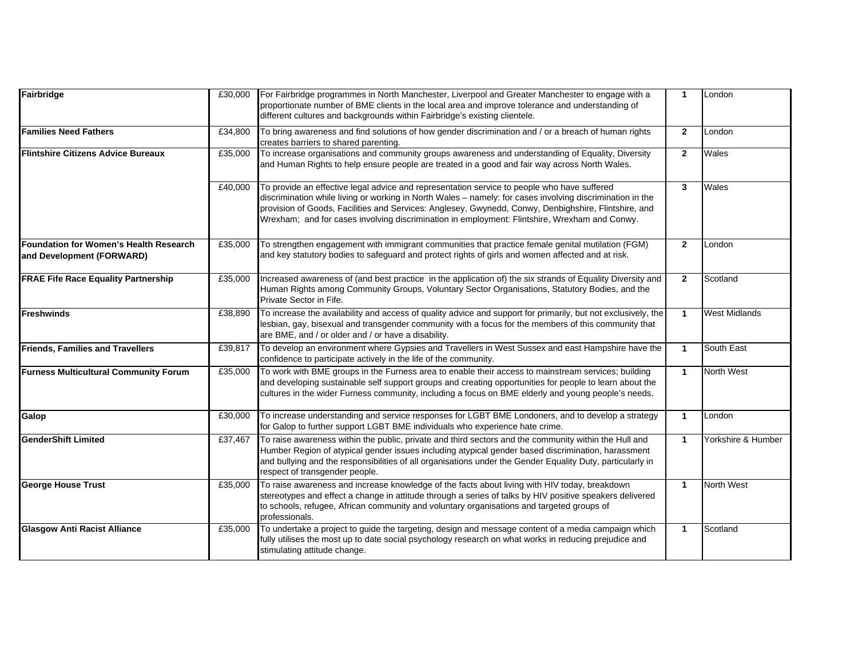| Fairbridge                                                                 | £30,000 | For Fairbridge programmes in North Manchester, Liverpool and Greater Manchester to engage with a<br>proportionate number of BME clients in the local area and improve tolerance and understanding of<br>different cultures and backgrounds within Fairbridge's existing clientele.                                                                                                                                | $\overline{1}$          | London               |
|----------------------------------------------------------------------------|---------|-------------------------------------------------------------------------------------------------------------------------------------------------------------------------------------------------------------------------------------------------------------------------------------------------------------------------------------------------------------------------------------------------------------------|-------------------------|----------------------|
| <b>Families Need Fathers</b>                                               | £34,800 | To bring awareness and find solutions of how gender discrimination and / or a breach of human rights<br>creates barriers to shared parenting.                                                                                                                                                                                                                                                                     | $\overline{2}$          | London               |
| <b>Flintshire Citizens Advice Bureaux</b>                                  | £35,000 | To increase organisations and community groups awareness and understanding of Equality, Diversity<br>and Human Rights to help ensure people are treated in a good and fair way across North Wales.                                                                                                                                                                                                                | $\mathbf{2}$            | Wales                |
|                                                                            | £40,000 | To provide an effective legal advice and representation service to people who have suffered<br>discrimination while living or working in North Wales - namely: for cases involving discrimination in the<br>provision of Goods, Facilities and Services: Anglesey, Gwynedd, Conwy, Denbighshire, Flintshire, and<br>Wrexham; and for cases involving discrimination in employment: Flintshire, Wrexham and Conwy. | 3                       | Wales                |
| <b>Foundation for Women's Health Research</b><br>and Development (FORWARD) | £35,000 | To strengthen engagement with immigrant communities that practice female genital mutilation (FGM)<br>and key statutory bodies to safeguard and protect rights of girls and women affected and at risk.                                                                                                                                                                                                            | $\overline{2}$          | London               |
| <b>FRAE Fife Race Equality Partnership</b>                                 | £35,000 | Increased awareness of (and best practice in the application of) the six strands of Equality Diversity and<br>Human Rights among Community Groups, Voluntary Sector Organisations, Statutory Bodies, and the<br>Private Sector in Fife.                                                                                                                                                                           | $\overline{2}$          | Scotland             |
| <b>Freshwinds</b>                                                          | £38,890 | To increase the availability and access of quality advice and support for primarily, but not exclusively, the<br>lesbian, gay, bisexual and transgender community with a focus for the members of this community that<br>are BME, and / or older and / or have a disability.                                                                                                                                      | $\overline{1}$          | <b>West Midlands</b> |
| <b>Friends, Families and Travellers</b>                                    | £39,817 | To develop an environment where Gypsies and Travellers in West Sussex and east Hampshire have the<br>confidence to participate actively in the life of the community.                                                                                                                                                                                                                                             | $\overline{1}$          | South East           |
| <b>Furness Multicultural Community Forum</b>                               | £35,000 | To work with BME groups in the Furness area to enable their access to mainstream services; building<br>and developing sustainable self support groups and creating opportunities for people to learn about the<br>cultures in the wider Furness community, including a focus on BME elderly and young people's needs.                                                                                             | $\overline{\mathbf{1}}$ | North West           |
| Galop                                                                      | £30,000 | To increase understanding and service responses for LGBT BME Londoners, and to develop a strategy<br>for Galop to further support LGBT BME individuals who experience hate crime.                                                                                                                                                                                                                                 | $\overline{1}$          | London               |
| <b>GenderShift Limited</b>                                                 | £37,467 | To raise awareness within the public, private and third sectors and the community within the Hull and<br>Humber Region of atypical gender issues including atypical gender based discrimination, harassment<br>and bullying and the responsibilities of all organisations under the Gender Equality Duty, particularly in<br>respect of transgender people.                                                       | $\overline{1}$          | Yorkshire & Humber   |
| <b>George House Trust</b>                                                  | £35,000 | To raise awareness and increase knowledge of the facts about living with HIV today, breakdown<br>stereotypes and effect a change in attitude through a series of talks by HIV positive speakers delivered<br>to schools, refugee, African community and voluntary organisations and targeted groups of<br>professionals.                                                                                          | $\overline{1}$          | North West           |
| <b>Glasgow Anti Racist Alliance</b>                                        | £35,000 | To undertake a project to guide the targeting, design and message content of a media campaign which<br>fully utilises the most up to date social psychology research on what works in reducing prejudice and<br>stimulating attitude change.                                                                                                                                                                      | $\overline{\mathbf{1}}$ | Scotland             |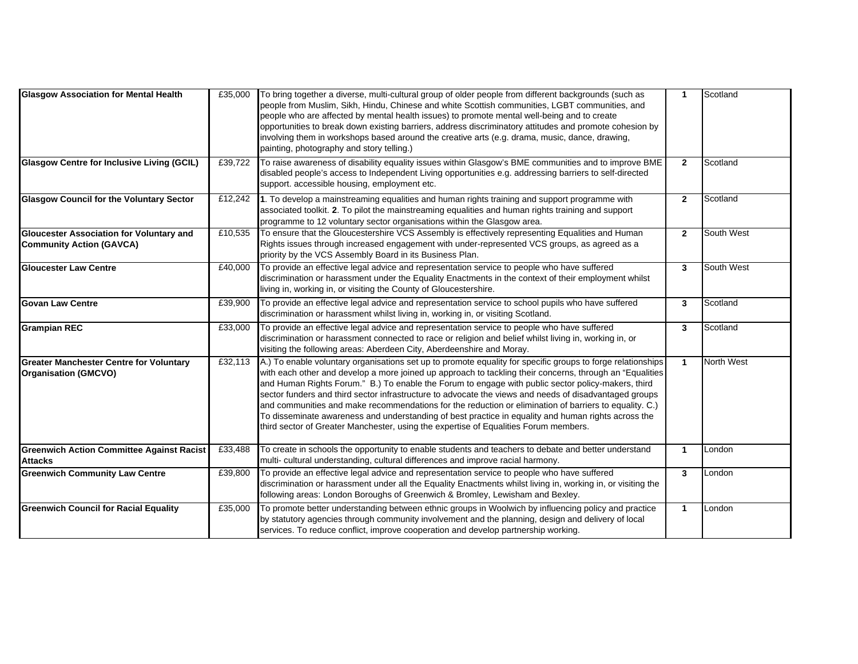| <b>Glasgow Association for Mental Health</b>                                       | £35,000 | To bring together a diverse, multi-cultural group of older people from different backgrounds (such as<br>people from Muslim, Sikh, Hindu, Chinese and white Scottish communities, LGBT communities, and<br>people who are affected by mental health issues) to promote mental well-being and to create<br>opportunities to break down existing barriers, address discriminatory attitudes and promote cohesion by<br>involving them in workshops based around the creative arts (e.g. drama, music, dance, drawing,<br>painting, photography and story telling.)                                                                                                                                                                                 | $\mathbf{1}$   | Scotland   |
|------------------------------------------------------------------------------------|---------|--------------------------------------------------------------------------------------------------------------------------------------------------------------------------------------------------------------------------------------------------------------------------------------------------------------------------------------------------------------------------------------------------------------------------------------------------------------------------------------------------------------------------------------------------------------------------------------------------------------------------------------------------------------------------------------------------------------------------------------------------|----------------|------------|
| <b>Glasgow Centre for Inclusive Living (GCIL)</b>                                  | £39,722 | To raise awareness of disability equality issues within Glasgow's BME communities and to improve BME<br>disabled people's access to Independent Living opportunities e.g. addressing barriers to self-directed<br>support. accessible housing, employment etc.                                                                                                                                                                                                                                                                                                                                                                                                                                                                                   | $\mathbf{2}$   | Scotland   |
| <b>Glasgow Council for the Voluntary Sector</b>                                    | £12,242 | 1. To develop a mainstreaming equalities and human rights training and support programme with<br>associated toolkit. 2. To pilot the mainstreaming equalities and human rights training and support<br>programme to 12 voluntary sector organisations within the Glasgow area.                                                                                                                                                                                                                                                                                                                                                                                                                                                                   | $\overline{2}$ | Scotland   |
| <b>Gloucester Association for Voluntary and</b><br><b>Community Action (GAVCA)</b> | £10,535 | To ensure that the Gloucestershire VCS Assembly is effectively representing Equalities and Human<br>Rights issues through increased engagement with under-represented VCS groups, as agreed as a<br>priority by the VCS Assembly Board in its Business Plan.                                                                                                                                                                                                                                                                                                                                                                                                                                                                                     | $\overline{2}$ | South West |
| <b>Gloucester Law Centre</b>                                                       | £40,000 | To provide an effective legal advice and representation service to people who have suffered<br>discrimination or harassment under the Equality Enactments in the context of their employment whilst<br>living in, working in, or visiting the County of Gloucestershire.                                                                                                                                                                                                                                                                                                                                                                                                                                                                         | 3              | South West |
| <b>Govan Law Centre</b>                                                            | £39,900 | To provide an effective legal advice and representation service to school pupils who have suffered<br>discrimination or harassment whilst living in, working in, or visiting Scotland.                                                                                                                                                                                                                                                                                                                                                                                                                                                                                                                                                           | 3              | Scotland   |
| <b>Grampian REC</b>                                                                | £33,000 | To provide an effective legal advice and representation service to people who have suffered<br>discrimination or harassment connected to race or religion and belief whilst living in, working in, or<br>visiting the following areas: Aberdeen City, Aberdeenshire and Moray.                                                                                                                                                                                                                                                                                                                                                                                                                                                                   | 3              | Scotland   |
| <b>Greater Manchester Centre for Voluntary</b><br><b>Organisation (GMCVO)</b>      | £32,113 | A.) To enable voluntary organisations set up to promote equality for specific groups to forge relationships<br>with each other and develop a more joined up approach to tackling their concerns, through an "Equalities<br>and Human Rights Forum." B.) To enable the Forum to engage with public sector policy-makers, third<br>sector funders and third sector infrastructure to advocate the views and needs of disadvantaged groups<br>and communities and make recommendations for the reduction or elimination of barriers to equality. C.)<br>To disseminate awareness and understanding of best practice in equality and human rights across the<br>third sector of Greater Manchester, using the expertise of Equalities Forum members. | $\mathbf{1}$   | North West |
| <b>Greenwich Action Committee Against Racist</b><br><b>Attacks</b>                 | £33,488 | To create in schools the opportunity to enable students and teachers to debate and better understand<br>multi- cultural understanding, cultural differences and improve racial harmony.                                                                                                                                                                                                                                                                                                                                                                                                                                                                                                                                                          | 1              | London     |
| <b>Greenwich Community Law Centre</b>                                              | £39,800 | To provide an effective legal advice and representation service to people who have suffered<br>discrimination or harassment under all the Equality Enactments whilst living in, working in, or visiting the<br>following areas: London Boroughs of Greenwich & Bromley, Lewisham and Bexley.                                                                                                                                                                                                                                                                                                                                                                                                                                                     | 3              | London     |
| <b>Greenwich Council for Racial Equality</b>                                       | £35,000 | To promote better understanding between ethnic groups in Woolwich by influencing policy and practice<br>by statutory agencies through community involvement and the planning, design and delivery of local<br>services. To reduce conflict, improve cooperation and develop partnership working.                                                                                                                                                                                                                                                                                                                                                                                                                                                 | $\mathbf{1}$   | London     |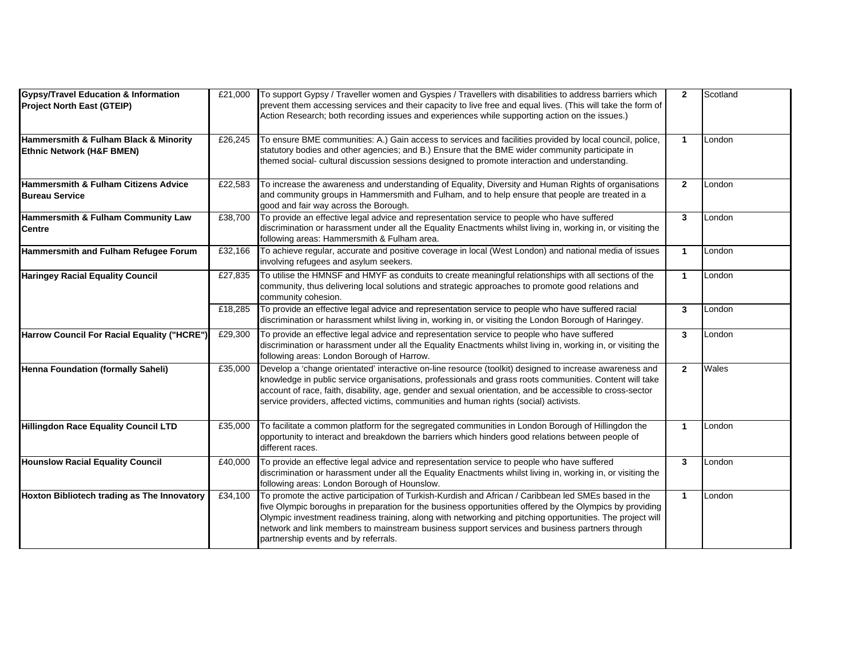| <b>Gypsy/Travel Education &amp; Information</b><br><b>Project North East (GTEIP)</b> | £21,000 | To support Gypsy / Traveller women and Gyspies / Travellers with disabilities to address barriers which<br>prevent them accessing services and their capacity to live free and equal lives. (This will take the form of<br>Action Research; both recording issues and experiences while supporting action on the issues.)                                                                                                                                               | $\overline{2}$       | Scotland |
|--------------------------------------------------------------------------------------|---------|-------------------------------------------------------------------------------------------------------------------------------------------------------------------------------------------------------------------------------------------------------------------------------------------------------------------------------------------------------------------------------------------------------------------------------------------------------------------------|----------------------|----------|
| Hammersmith & Fulham Black & Minority<br><b>Ethnic Network (H&amp;F BMEN)</b>        | £26,245 | To ensure BME communities: A.) Gain access to services and facilities provided by local council, police,<br>statutory bodies and other agencies; and B.) Ensure that the BME wider community participate in<br>themed social- cultural discussion sessions designed to promote interaction and understanding.                                                                                                                                                           | $\mathbf 1$          | London   |
| <b>Hammersmith &amp; Fulham Citizens Advice</b><br><b>Bureau Service</b>             | £22,583 | To increase the awareness and understanding of Equality, Diversity and Human Rights of organisations<br>and community groups in Hammersmith and Fulham, and to help ensure that people are treated in a<br>good and fair way across the Borough.                                                                                                                                                                                                                        | $\mathbf{2}$         | London   |
| Hammersmith & Fulham Community Law<br><b>Centre</b>                                  | £38,700 | To provide an effective legal advice and representation service to people who have suffered<br>discrimination or harassment under all the Equality Enactments whilst living in, working in, or visiting the<br>following areas: Hammersmith & Fulham area.                                                                                                                                                                                                              | 3                    | London   |
| Hammersmith and Fulham Refugee Forum                                                 | £32,166 | To achieve regular, accurate and positive coverage in local (West London) and national media of issues<br>involving refugees and asylum seekers.                                                                                                                                                                                                                                                                                                                        | $\blacktriangleleft$ | London   |
| <b>Haringey Racial Equality Council</b>                                              | £27,835 | To utilise the HMNSF and HMYF as conduits to create meaningful relationships with all sections of the<br>community, thus delivering local solutions and strategic approaches to promote good relations and<br>community cohesion.                                                                                                                                                                                                                                       | $\mathbf{1}$         | London   |
|                                                                                      | £18,285 | To provide an effective legal advice and representation service to people who have suffered racial<br>discrimination or harassment whilst living in, working in, or visiting the London Borough of Haringey.                                                                                                                                                                                                                                                            | 3                    | London   |
| Harrow Council For Racial Equality ("HCRE")                                          | £29,300 | To provide an effective legal advice and representation service to people who have suffered<br>discrimination or harassment under all the Equality Enactments whilst living in, working in, or visiting the<br>following areas: London Borough of Harrow.                                                                                                                                                                                                               | $\mathbf{3}$         | London   |
| Henna Foundation (formally Saheli)                                                   | £35,000 | Develop a 'change orientated' interactive on-line resource (toolkit) designed to increase awareness and<br>knowledge in public service organisations, professionals and grass roots communities. Content will take<br>account of race, faith, disability, age, gender and sexual orientation, and be accessible to cross-sector<br>service providers, affected victims, communities and human rights (social) activists.                                                | $\overline{2}$       | Wales    |
| <b>Hillingdon Race Equality Council LTD</b>                                          | £35,000 | To facilitate a common platform for the segregated communities in London Borough of Hillingdon the<br>opportunity to interact and breakdown the barriers which hinders good relations between people of<br>different races.                                                                                                                                                                                                                                             | $\blacktriangleleft$ | London   |
| <b>Hounslow Racial Equality Council</b>                                              | £40,000 | To provide an effective legal advice and representation service to people who have suffered<br>discrimination or harassment under all the Equality Enactments whilst living in, working in, or visiting the<br>following areas: London Borough of Hounslow.                                                                                                                                                                                                             | $\mathbf{3}$         | London   |
| Hoxton Bibliotech trading as The Innovatory                                          | £34,100 | To promote the active participation of Turkish-Kurdish and African / Caribbean led SMEs based in the<br>five Olympic boroughs in preparation for the business opportunities offered by the Olympics by providing<br>Olympic investment readiness training, along with networking and pitching opportunities. The project will<br>network and link members to mainstream business support services and business partners through<br>partnership events and by referrals. | $\mathbf{1}$         | London   |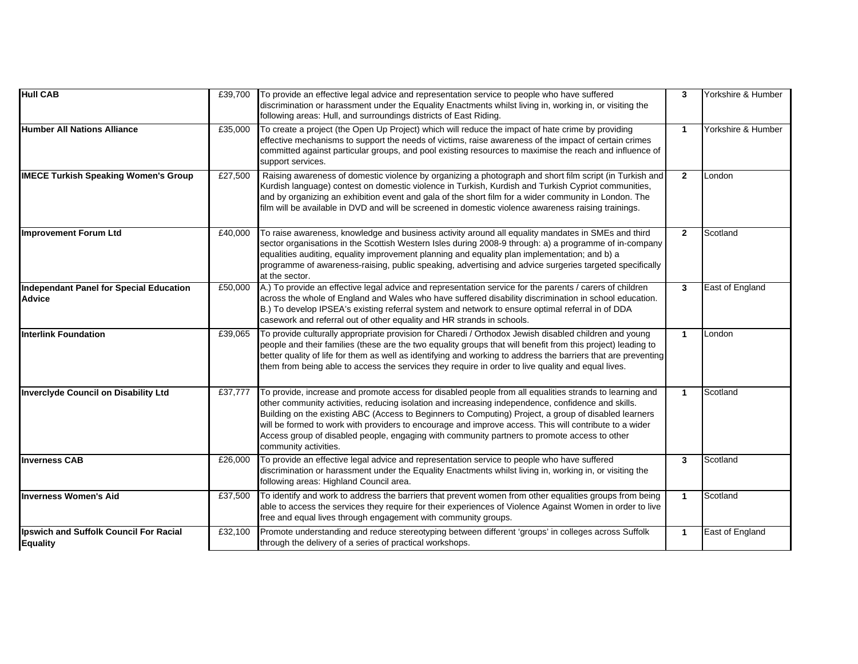| <b>Hull CAB</b>                                           | £39,700 | To provide an effective legal advice and representation service to people who have suffered<br>discrimination or harassment under the Equality Enactments whilst living in, working in, or visiting the<br>following areas: Hull, and surroundings districts of East Riding.                                                                                                                                                                                                                                                                              | 3              | Yorkshire & Humber |
|-----------------------------------------------------------|---------|-----------------------------------------------------------------------------------------------------------------------------------------------------------------------------------------------------------------------------------------------------------------------------------------------------------------------------------------------------------------------------------------------------------------------------------------------------------------------------------------------------------------------------------------------------------|----------------|--------------------|
| <b>Humber All Nations Alliance</b>                        | £35,000 | To create a project (the Open Up Project) which will reduce the impact of hate crime by providing<br>effective mechanisms to support the needs of victims, raise awareness of the impact of certain crimes<br>committed against particular groups, and pool existing resources to maximise the reach and influence of<br>support services.                                                                                                                                                                                                                | $\mathbf{1}$   | Yorkshire & Humber |
| <b>IMECE Turkish Speaking Women's Group</b>               | £27,500 | Raising awareness of domestic violence by organizing a photograph and short film script (in Turkish and<br>Kurdish language) contest on domestic violence in Turkish, Kurdish and Turkish Cypriot communities,<br>and by organizing an exhibition event and gala of the short film for a wider community in London. The<br>film will be available in DVD and will be screened in domestic violence awareness raising trainings.                                                                                                                           | $\mathbf{2}$   | London             |
| Improvement Forum Ltd                                     | £40,000 | To raise awareness, knowledge and business activity around all equality mandates in SMEs and third<br>sector organisations in the Scottish Western Isles during 2008-9 through: a) a programme of in-company<br>equalities auditing, equality improvement planning and equality plan implementation; and b) a<br>programme of awareness-raising, public speaking, advertising and advice surgeries targeted specifically<br>at the sector.                                                                                                                | $\overline{2}$ | Scotland           |
| Independant Panel for Special Education<br><b>Advice</b>  | £50,000 | A.) To provide an effective legal advice and representation service for the parents / carers of children<br>across the whole of England and Wales who have suffered disability discrimination in school education.<br>B.) To develop IPSEA's existing referral system and network to ensure optimal referral in of DDA<br>casework and referral out of other equality and HR strands in schools.                                                                                                                                                          | 3              | East of England    |
| <b>Interlink Foundation</b>                               | £39,065 | To provide culturally appropriate provision for Charedi / Orthodox Jewish disabled children and young<br>people and their families (these are the two equality groups that will benefit from this project) leading to<br>better quality of life for them as well as identifying and working to address the barriers that are preventing<br>them from being able to access the services they require in order to live quality and equal lives.                                                                                                             | $\mathbf{1}$   | London             |
| <b>Inverclyde Council on Disability Ltd</b>               | £37,777 | To provide, increase and promote access for disabled people from all equalities strands to learning and<br>other community activities, reducing isolation and increasing independence, confidence and skills.<br>Building on the existing ABC (Access to Beginners to Computing) Project, a group of disabled learners<br>will be formed to work with providers to encourage and improve access. This will contribute to a wider<br>Access group of disabled people, engaging with community partners to promote access to other<br>community activities. | $\mathbf{1}$   | Scotland           |
| <b>Inverness CAB</b>                                      | £26,000 | To provide an effective legal advice and representation service to people who have suffered<br>discrimination or harassment under the Equality Enactments whilst living in, working in, or visiting the<br>following areas: Highland Council area.                                                                                                                                                                                                                                                                                                        | 3              | Scotland           |
| Inverness Women's Aid                                     | £37,500 | To identify and work to address the barriers that prevent women from other equalities groups from being<br>able to access the services they require for their experiences of Violence Against Women in order to live<br>free and equal lives through engagement with community groups.                                                                                                                                                                                                                                                                    | $\mathbf{1}$   | Scotland           |
| Ipswich and Suffolk Council For Racial<br><b>Equality</b> | £32,100 | Promote understanding and reduce stereotyping between different 'groups' in colleges across Suffolk<br>through the delivery of a series of practical workshops.                                                                                                                                                                                                                                                                                                                                                                                           | $\mathbf{1}$   | East of England    |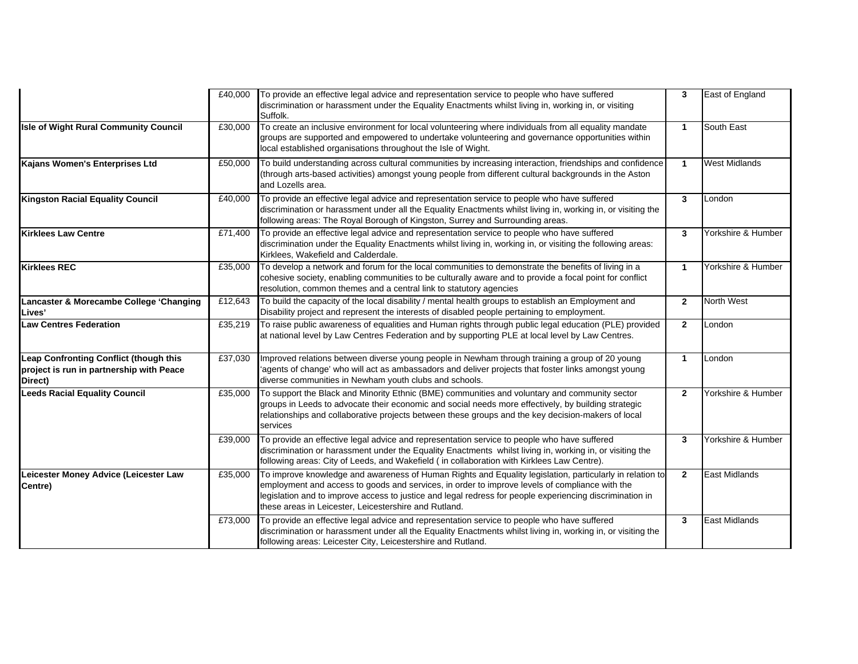|                                                                                               | £40,000 | To provide an effective legal advice and representation service to people who have suffered<br>discrimination or harassment under the Equality Enactments whilst living in, working in, or visiting<br>Suffolk.                                                                                                                                                                 | 3              | East of England      |
|-----------------------------------------------------------------------------------------------|---------|---------------------------------------------------------------------------------------------------------------------------------------------------------------------------------------------------------------------------------------------------------------------------------------------------------------------------------------------------------------------------------|----------------|----------------------|
| <b>Isle of Wight Rural Community Council</b>                                                  | £30,000 | To create an inclusive environment for local volunteering where individuals from all equality mandate<br>groups are supported and empowered to undertake volunteering and governance opportunities within<br>local established organisations throughout the Isle of Wight.                                                                                                      | $\mathbf{1}$   | South East           |
| Kajans Women's Enterprises Ltd                                                                | £50,000 | To build understanding across cultural communities by increasing interaction, friendships and confidence<br>(through arts-based activities) amongst young people from different cultural backgrounds in the Aston<br>and Lozells area.                                                                                                                                          | $\mathbf{1}$   | <b>West Midlands</b> |
| <b>Kingston Racial Equality Council</b>                                                       | £40,000 | To provide an effective legal advice and representation service to people who have suffered<br>discrimination or harassment under all the Equality Enactments whilst living in, working in, or visiting the<br>following areas: The Royal Borough of Kingston, Surrey and Surrounding areas.                                                                                    | 3              | London               |
| <b>Kirklees Law Centre</b>                                                                    | £71,400 | To provide an effective legal advice and representation service to people who have suffered<br>discrimination under the Equality Enactments whilst living in, working in, or visiting the following areas:<br>Kirklees, Wakefield and Calderdale.                                                                                                                               | $\mathbf{3}$   | Yorkshire & Humber   |
| <b>Kirklees REC</b>                                                                           | £35,000 | To develop a network and forum for the local communities to demonstrate the benefits of living in a<br>cohesive society, enabling communities to be culturally aware and to provide a focal point for conflict<br>resolution, common themes and a central link to statutory agencies                                                                                            | $\mathbf{1}$   | Yorkshire & Humber   |
| Lancaster & Morecambe College 'Changing<br>Lives'                                             | £12,643 | To build the capacity of the local disability / mental health groups to establish an Employment and<br>Disability project and represent the interests of disabled people pertaining to employment.                                                                                                                                                                              | $\mathbf{2}$   | <b>North West</b>    |
| <b>Law Centres Federation</b>                                                                 | £35,219 | To raise public awareness of equalities and Human rights through public legal education (PLE) provided<br>at national level by Law Centres Federation and by supporting PLE at local level by Law Centres.                                                                                                                                                                      | $\mathbf{2}$   | London               |
| Leap Confronting Conflict (though this<br>project is run in partnership with Peace<br>Direct) | £37,030 | Improved relations between diverse young people in Newham through training a group of 20 young<br>'agents of change' who will act as ambassadors and deliver projects that foster links amongst young<br>diverse communities in Newham youth clubs and schools.                                                                                                                 | $\mathbf{1}$   | London               |
| <b>Leeds Racial Equality Council</b>                                                          | £35,000 | To support the Black and Minority Ethnic (BME) communities and voluntary and community sector<br>groups in Leeds to advocate their economic and social needs more effectively, by building strategic<br>relationships and collaborative projects between these groups and the key decision-makers of local<br>services                                                          | $\overline{2}$ | Yorkshire & Humber   |
|                                                                                               | £39,000 | To provide an effective legal advice and representation service to people who have suffered<br>discrimination or harassment under the Equality Enactments whilst living in, working in, or visiting the<br>following areas: City of Leeds, and Wakefield ( in collaboration with Kirklees Law Centre).                                                                          | 3              | Yorkshire & Humber   |
| Leicester Money Advice (Leicester Law<br>Centre)                                              | £35,000 | To improve knowledge and awareness of Human Rights and Equality legislation, particularly in relation to<br>employment and access to goods and services, in order to improve levels of compliance with the<br>legislation and to improve access to justice and legal redress for people experiencing discrimination in<br>these areas in Leicester, Leicestershire and Rutland. | $\mathbf{2}$   | <b>East Midlands</b> |
|                                                                                               | £73,000 | To provide an effective legal advice and representation service to people who have suffered<br>discrimination or harassment under all the Equality Enactments whilst living in, working in, or visiting the<br>following areas: Leicester City, Leicestershire and Rutland.                                                                                                     | 3              | <b>East Midlands</b> |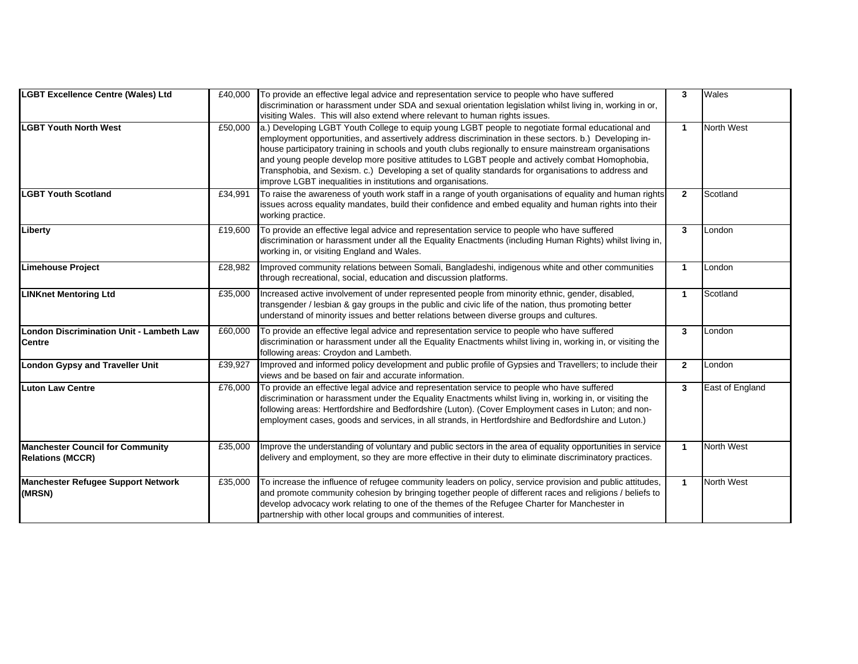| <b>LGBT Excellence Centre (Wales) Ltd</b>                          | £40,000 | To provide an effective legal advice and representation service to people who have suffered<br>discrimination or harassment under SDA and sexual orientation legislation whilst living in, working in or,<br>visiting Wales. This will also extend where relevant to human rights issues.                                                                                                                                                                                                                                                                                                    | 3              | Wales             |
|--------------------------------------------------------------------|---------|----------------------------------------------------------------------------------------------------------------------------------------------------------------------------------------------------------------------------------------------------------------------------------------------------------------------------------------------------------------------------------------------------------------------------------------------------------------------------------------------------------------------------------------------------------------------------------------------|----------------|-------------------|
| <b>LGBT Youth North West</b>                                       | £50,000 | a.) Developing LGBT Youth College to equip young LGBT people to negotiate formal educational and<br>employment opportunities, and assertively address discrimination in these sectors. b.) Developing in-<br>house participatory training in schools and youth clubs regionally to ensure mainstream organisations<br>and young people develop more positive attitudes to LGBT people and actively combat Homophobia,<br>Transphobia, and Sexism. c.) Developing a set of quality standards for organisations to address and<br>improve LGBT inequalities in institutions and organisations. | $\mathbf{1}$   | North West        |
| <b>LGBT Youth Scotland</b>                                         | £34,991 | To raise the awareness of youth work staff in a range of youth organisations of equality and human rights<br>issues across equality mandates, build their confidence and embed equality and human rights into their<br>working practice.                                                                                                                                                                                                                                                                                                                                                     | $\overline{2}$ | Scotland          |
| Liberty                                                            | £19,600 | To provide an effective legal advice and representation service to people who have suffered<br>discrimination or harassment under all the Equality Enactments (including Human Rights) whilst living in,<br>working in, or visiting England and Wales.                                                                                                                                                                                                                                                                                                                                       | 3              | London            |
| <b>Limehouse Project</b>                                           | £28,982 | Improved community relations between Somali, Bangladeshi, indigenous white and other communities<br>through recreational, social, education and discussion platforms.                                                                                                                                                                                                                                                                                                                                                                                                                        | $\mathbf{1}$   | London            |
| <b>LINKnet Mentoring Ltd</b>                                       | £35,000 | Increased active involvement of under represented people from minority ethnic, gender, disabled,<br>transgender / lesbian & gay groups in the public and civic life of the nation, thus promoting better<br>understand of minority issues and better relations between diverse groups and cultures.                                                                                                                                                                                                                                                                                          | $\mathbf{1}$   | Scotland          |
| <b>London Discrimination Unit - Lambeth Law</b><br><b>Centre</b>   | £60,000 | To provide an effective legal advice and representation service to people who have suffered<br>discrimination or harassment under all the Equality Enactments whilst living in, working in, or visiting the<br>following areas: Croydon and Lambeth.                                                                                                                                                                                                                                                                                                                                         | 3              | London            |
| <b>London Gypsy and Traveller Unit</b>                             | £39,927 | Improved and informed policy development and public profile of Gypsies and Travellers; to include their<br>views and be based on fair and accurate information.                                                                                                                                                                                                                                                                                                                                                                                                                              | $\mathbf{2}$   | London            |
| <b>Luton Law Centre</b>                                            | £76,000 | To provide an effective legal advice and representation service to people who have suffered<br>discrimination or harassment under the Equality Enactments whilst living in, working in, or visiting the<br>following areas: Hertfordshire and Bedfordshire (Luton). (Cover Employment cases in Luton; and non-<br>employment cases, goods and services, in all strands, in Hertfordshire and Bedfordshire and Luton.)                                                                                                                                                                        | 3              | East of England   |
| <b>Manchester Council for Community</b><br><b>Relations (MCCR)</b> | £35,000 | Improve the understanding of voluntary and public sectors in the area of equality opportunities in service<br>delivery and employment, so they are more effective in their duty to eliminate discriminatory practices.                                                                                                                                                                                                                                                                                                                                                                       | $\mathbf{1}$   | <b>North West</b> |
| <b>Manchester Refugee Support Network</b><br>(MRSN)                | £35,000 | To increase the influence of refugee community leaders on policy, service provision and public attitudes,<br>and promote community cohesion by bringing together people of different races and religions / beliefs to<br>develop advocacy work relating to one of the themes of the Refugee Charter for Manchester in<br>partnership with other local groups and communities of interest.                                                                                                                                                                                                    | $\mathbf{1}$   | <b>North West</b> |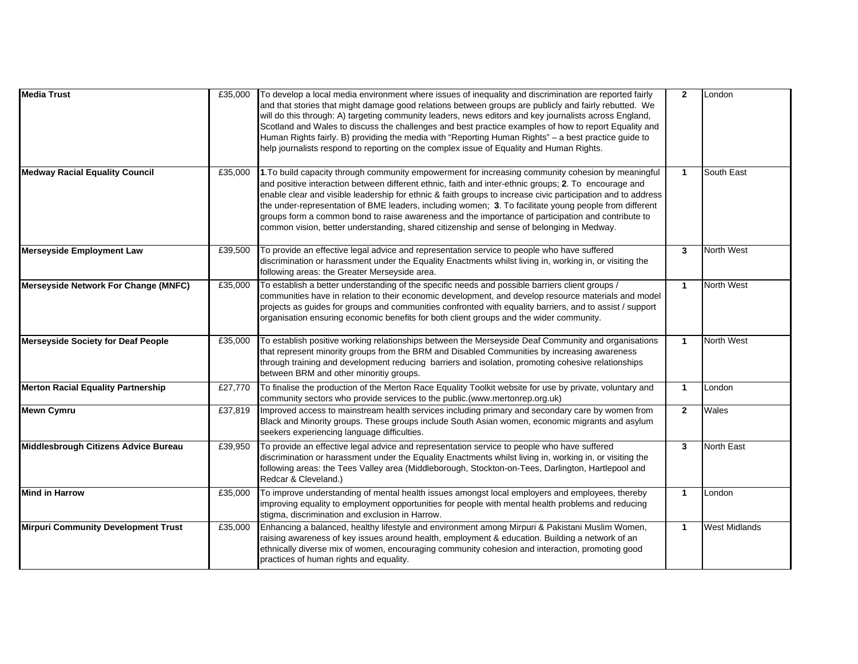| <b>Media Trust</b>                         | £35,000 | To develop a local media environment where issues of inequality and discrimination are reported fairly<br>and that stories that might damage good relations between groups are publicly and fairly rebutted. We<br>will do this through: A) targeting community leaders, news editors and key journalists across England,<br>Scotland and Wales to discuss the challenges and best practice examples of how to report Equality and<br>Human Rights fairly. B) providing the media with "Reporting Human Rights" - a best practice guide to<br>help journalists respond to reporting on the complex issue of Equality and Human Rights.   | $\overline{2}$ | London               |
|--------------------------------------------|---------|------------------------------------------------------------------------------------------------------------------------------------------------------------------------------------------------------------------------------------------------------------------------------------------------------------------------------------------------------------------------------------------------------------------------------------------------------------------------------------------------------------------------------------------------------------------------------------------------------------------------------------------|----------------|----------------------|
| <b>Medway Racial Equality Council</b>      | £35,000 | 1. To build capacity through community empowerment for increasing community cohesion by meaningful<br>and positive interaction between different ethnic, faith and inter-ethnic groups; 2. To encourage and<br>enable clear and visible leadership for ethnic & faith groups to increase civic participation and to address<br>the under-representation of BME leaders, including women; 3. To facilitate young people from different<br>groups form a common bond to raise awareness and the importance of participation and contribute to<br>common vision, better understanding, shared citizenship and sense of belonging in Medway. | $\mathbf{1}$   | South East           |
| <b>Merseyside Employment Law</b>           | £39,500 | To provide an effective legal advice and representation service to people who have suffered<br>discrimination or harassment under the Equality Enactments whilst living in, working in, or visiting the<br>following areas: the Greater Merseyside area.                                                                                                                                                                                                                                                                                                                                                                                 | 3              | <b>North West</b>    |
| Merseyside Network For Change (MNFC)       | £35,000 | To establish a better understanding of the specific needs and possible barriers client groups /<br>communities have in relation to their economic development, and develop resource materials and model<br>projects as guides for groups and communities confronted with equality barriers, and to assist / support<br>organisation ensuring economic benefits for both client groups and the wider community.                                                                                                                                                                                                                           | $\mathbf{1}$   | North West           |
| <b>Merseyside Society for Deaf People</b>  | £35,000 | To establish positive working relationships between the Merseyside Deaf Community and organisations<br>that represent minority groups from the BRM and Disabled Communities by increasing awareness<br>through training and development reducing barriers and isolation, promoting cohesive relationships<br>between BRM and other minoritiy groups.                                                                                                                                                                                                                                                                                     | $\mathbf{1}$   | <b>North West</b>    |
| <b>Merton Racial Equality Partnership</b>  | £27,770 | To finalise the production of the Merton Race Equality Toolkit website for use by private, voluntary and<br>community sectors who provide services to the public.(www.mertonrep.org.uk)                                                                                                                                                                                                                                                                                                                                                                                                                                                  | $\mathbf{1}$   | London               |
| <b>Mewn Cymru</b>                          | £37,819 | Improved access to mainstream health services including primary and secondary care by women from<br>Black and Minority groups. These groups include South Asian women, economic migrants and asylum<br>seekers experiencing language difficulties.                                                                                                                                                                                                                                                                                                                                                                                       | $\mathbf{2}$   | Wales                |
| Middlesbrough Citizens Advice Bureau       | £39,950 | To provide an effective legal advice and representation service to people who have suffered<br>discrimination or harassment under the Equality Enactments whilst living in, working in, or visiting the<br>following areas: the Tees Valley area (Middleborough, Stockton-on-Tees, Darlington, Hartlepool and<br>Redcar & Cleveland.)                                                                                                                                                                                                                                                                                                    | 3              | North East           |
| <b>Mind in Harrow</b>                      | £35,000 | To improve understanding of mental health issues amongst local employers and employees, thereby<br>improving equality to employment opportunities for people with mental health problems and reducing<br>stigma, discrimination and exclusion in Harrow.                                                                                                                                                                                                                                                                                                                                                                                 | $\mathbf{1}$   | London               |
| <b>Mirpuri Community Development Trust</b> | £35,000 | Enhancing a balanced, healthy lifestyle and environment among Mirpuri & Pakistani Muslim Women,<br>raising awareness of key issues around health, employment & education. Building a network of an<br>ethnically diverse mix of women, encouraging community cohesion and interaction, promoting good<br>practices of human rights and equality.                                                                                                                                                                                                                                                                                         | $\mathbf{1}$   | <b>West Midlands</b> |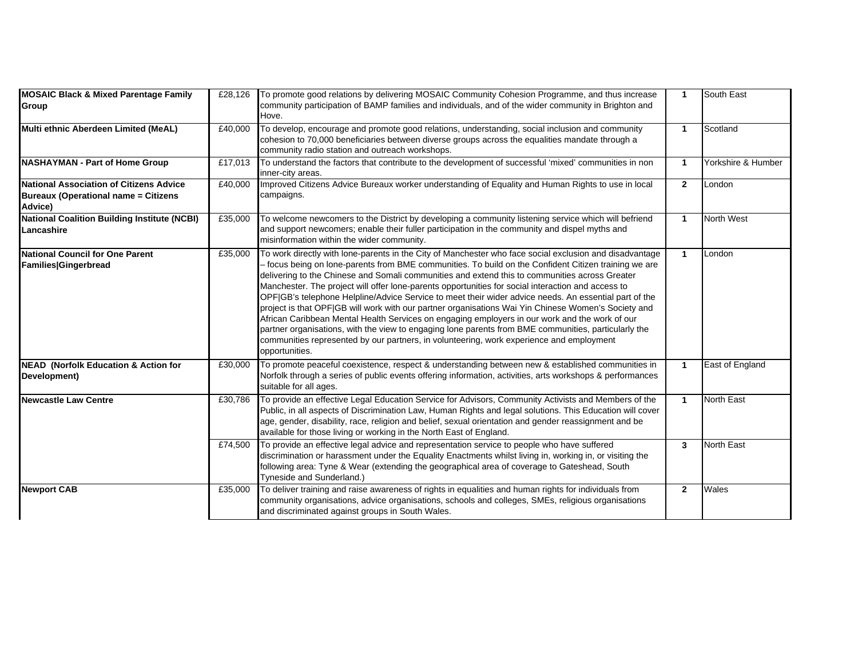| <b>MOSAIC Black &amp; Mixed Parentage Family</b><br>Group                                         | £28,126 | To promote good relations by delivering MOSAIC Community Cohesion Programme, and thus increase<br>community participation of BAMP families and individuals, and of the wider community in Brighton and<br>Hove.                                                                                                                                                                                                                                                                                                                                                                                                                                                                                                                                                                                                                                                                                                                                                  | $\mathbf{1}$         | South East         |
|---------------------------------------------------------------------------------------------------|---------|------------------------------------------------------------------------------------------------------------------------------------------------------------------------------------------------------------------------------------------------------------------------------------------------------------------------------------------------------------------------------------------------------------------------------------------------------------------------------------------------------------------------------------------------------------------------------------------------------------------------------------------------------------------------------------------------------------------------------------------------------------------------------------------------------------------------------------------------------------------------------------------------------------------------------------------------------------------|----------------------|--------------------|
| Multi ethnic Aberdeen Limited (MeAL)                                                              | £40,000 | To develop, encourage and promote good relations, understanding, social inclusion and community<br>cohesion to 70,000 beneficiaries between diverse groups across the equalities mandate through a<br>community radio station and outreach workshops.                                                                                                                                                                                                                                                                                                                                                                                                                                                                                                                                                                                                                                                                                                            | $\mathbf{1}$         | Scotland           |
| <b>NASHAYMAN - Part of Home Group</b>                                                             | £17,013 | To understand the factors that contribute to the development of successful 'mixed' communities in non<br>inner-city areas.                                                                                                                                                                                                                                                                                                                                                                                                                                                                                                                                                                                                                                                                                                                                                                                                                                       | $\mathbf{1}$         | Yorkshire & Humber |
| National Association of Citizens Advice<br><b>Bureaux (Operational name = Citizens</b><br>Advice) | £40,000 | Improved Citizens Advice Bureaux worker understanding of Equality and Human Rights to use in local<br>campaigns.                                                                                                                                                                                                                                                                                                                                                                                                                                                                                                                                                                                                                                                                                                                                                                                                                                                 | $\overline{2}$       | London             |
| <b>National Coalition Building Institute (NCBI)</b><br>Lancashire                                 | £35,000 | To welcome newcomers to the District by developing a community listening service which will befriend<br>and support newcomers; enable their fuller participation in the community and dispel myths and<br>misinformation within the wider community.                                                                                                                                                                                                                                                                                                                                                                                                                                                                                                                                                                                                                                                                                                             | $\blacktriangleleft$ | <b>North West</b>  |
| <b>National Council for One Parent</b><br>Families Gingerbread                                    | £35,000 | To work directly with lone-parents in the City of Manchester who face social exclusion and disadvantage<br>- focus being on lone-parents from BME communities. To build on the Confident Citizen training we are<br>delivering to the Chinese and Somali communities and extend this to communities across Greater<br>Manchester. The project will offer lone-parents opportunities for social interaction and access to<br>OPF GB's telephone Helpline/Advice Service to meet their wider advice needs. An essential part of the<br>project is that OPF GB will work with our partner organisations Wai Yin Chinese Women's Society and<br>African Caribbean Mental Health Services on engaging employers in our work and the work of our<br>partner organisations, with the view to engaging lone parents from BME communities, particularly the<br>communities represented by our partners, in volunteering, work experience and employment<br>opportunities. | $\blacktriangleleft$ | London             |
| <b>NEAD</b> (Norfolk Education & Action for<br>Development)                                       | £30,000 | To promote peaceful coexistence, respect & understanding between new & established communities in<br>Norfolk through a series of public events offering information, activities, arts workshops & performances<br>suitable for all ages.                                                                                                                                                                                                                                                                                                                                                                                                                                                                                                                                                                                                                                                                                                                         | $\mathbf{1}$         | East of England    |
| <b>Newcastle Law Centre</b>                                                                       | £30,786 | To provide an effective Legal Education Service for Advisors, Community Activists and Members of the<br>Public, in all aspects of Discrimination Law, Human Rights and legal solutions. This Education will cover<br>age, gender, disability, race, religion and belief, sexual orientation and gender reassignment and be<br>available for those living or working in the North East of England.                                                                                                                                                                                                                                                                                                                                                                                                                                                                                                                                                                | $\mathbf{1}$         | <b>North East</b>  |
|                                                                                                   | £74,500 | To provide an effective legal advice and representation service to people who have suffered<br>discrimination or harassment under the Equality Enactments whilst living in, working in, or visiting the<br>following area: Tyne & Wear (extending the geographical area of coverage to Gateshead, South<br>Tyneside and Sunderland.)                                                                                                                                                                                                                                                                                                                                                                                                                                                                                                                                                                                                                             | $\mathbf{3}$         | <b>North East</b>  |
| <b>Newport CAB</b>                                                                                | £35,000 | To deliver training and raise awareness of rights in equalities and human rights for individuals from<br>community organisations, advice organisations, schools and colleges, SMEs, religious organisations<br>and discriminated against groups in South Wales.                                                                                                                                                                                                                                                                                                                                                                                                                                                                                                                                                                                                                                                                                                  | $\mathbf{2}$         | Wales              |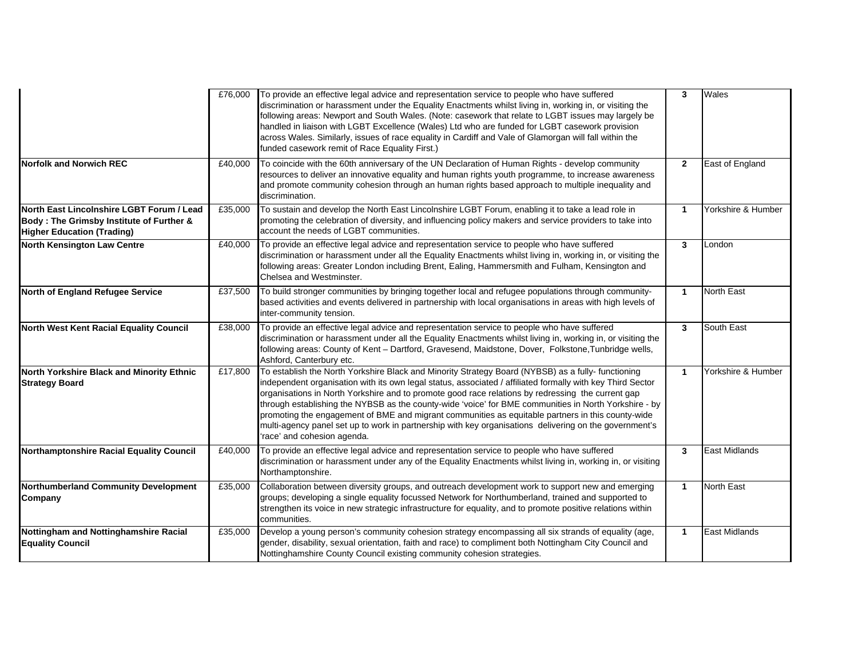|                                                                                                                            | £76,000 | To provide an effective legal advice and representation service to people who have suffered<br>discrimination or harassment under the Equality Enactments whilst living in, working in, or visiting the<br>following areas: Newport and South Wales. (Note: casework that relate to LGBT issues may largely be<br>handled in liaison with LGBT Excellence (Wales) Ltd who are funded for LGBT casework provision<br>across Wales. Similarly, issues of race equality in Cardiff and Vale of Glamorgan will fall within the<br>funded casework remit of Race Equality First.)                                                                                                 | $\mathbf{3}$ | Wales                |
|----------------------------------------------------------------------------------------------------------------------------|---------|------------------------------------------------------------------------------------------------------------------------------------------------------------------------------------------------------------------------------------------------------------------------------------------------------------------------------------------------------------------------------------------------------------------------------------------------------------------------------------------------------------------------------------------------------------------------------------------------------------------------------------------------------------------------------|--------------|----------------------|
| <b>Norfolk and Norwich REC</b>                                                                                             | £40,000 | To coincide with the 60th anniversary of the UN Declaration of Human Rights - develop community<br>resources to deliver an innovative equality and human rights youth programme, to increase awareness<br>and promote community cohesion through an human rights based approach to multiple inequality and<br>discrimination.                                                                                                                                                                                                                                                                                                                                                | $\mathbf{2}$ | East of England      |
| North East Lincolnshire LGBT Forum / Lead<br>Body: The Grimsby Institute of Further &<br><b>Higher Education (Trading)</b> | £35,000 | To sustain and develop the North East Lincolnshire LGBT Forum, enabling it to take a lead role in<br>promoting the celebration of diversity, and influencing policy makers and service providers to take into<br>account the needs of LGBT communities.                                                                                                                                                                                                                                                                                                                                                                                                                      | $\mathbf{1}$ | Yorkshire & Humber   |
| <b>North Kensington Law Centre</b>                                                                                         | £40,000 | To provide an effective legal advice and representation service to people who have suffered<br>discrimination or harassment under all the Equality Enactments whilst living in, working in, or visiting the<br>following areas: Greater London including Brent, Ealing, Hammersmith and Fulham, Kensington and<br>Chelsea and Westminster.                                                                                                                                                                                                                                                                                                                                   | $\mathbf{3}$ | London               |
| North of England Refugee Service                                                                                           | £37,500 | To build stronger communities by bringing together local and refugee populations through community-<br>based activities and events delivered in partnership with local organisations in areas with high levels of<br>inter-community tension.                                                                                                                                                                                                                                                                                                                                                                                                                                | $\mathbf{1}$ | North East           |
| North West Kent Racial Equality Council                                                                                    | £38,000 | To provide an effective legal advice and representation service to people who have suffered<br>discrimination or harassment under all the Equality Enactments whilst living in, working in, or visiting the<br>following areas: County of Kent - Dartford, Gravesend, Maidstone, Dover, Folkstone, Tunbridge wells,<br>Ashford, Canterbury etc.                                                                                                                                                                                                                                                                                                                              | 3            | South East           |
| North Yorkshire Black and Minority Ethnic<br><b>Strategy Board</b>                                                         | £17,800 | To establish the North Yorkshire Black and Minority Strategy Board (NYBSB) as a fully- functioning<br>independent organisation with its own legal status, associated / affiliated formally with key Third Sector<br>organisations in North Yorkshire and to promote good race relations by redressing the current gap<br>through establishing the NYBSB as the county-wide 'voice' for BME communities in North Yorkshire - by<br>promoting the engagement of BME and migrant communities as equitable partners in this county-wide<br>multi-agency panel set up to work in partnership with key organisations delivering on the government's<br>'race' and cohesion agenda. | $\mathbf{1}$ | Yorkshire & Humber   |
| Northamptonshire Racial Equality Council                                                                                   | £40,000 | To provide an effective legal advice and representation service to people who have suffered<br>discrimination or harassment under any of the Equality Enactments whilst living in, working in, or visiting<br>Northamptonshire.                                                                                                                                                                                                                                                                                                                                                                                                                                              | 3            | <b>East Midlands</b> |
| <b>Northumberland Community Development</b><br>Company                                                                     | £35,000 | Collaboration between diversity groups, and outreach development work to support new and emerging<br>groups; developing a single equality focussed Network for Northumberland, trained and supported to<br>strengthen its voice in new strategic infrastructure for equality, and to promote positive relations within<br>communities.                                                                                                                                                                                                                                                                                                                                       | $\mathbf{1}$ | North East           |
| Nottingham and Nottinghamshire Racial<br><b>Equality Council</b>                                                           | £35,000 | Develop a young person's community cohesion strategy encompassing all six strands of equality (age,<br>gender, disability, sexual orientation, faith and race) to compliment both Nottingham City Council and<br>Nottinghamshire County Council existing community cohesion strategies.                                                                                                                                                                                                                                                                                                                                                                                      | $\mathbf{1}$ | East Midlands        |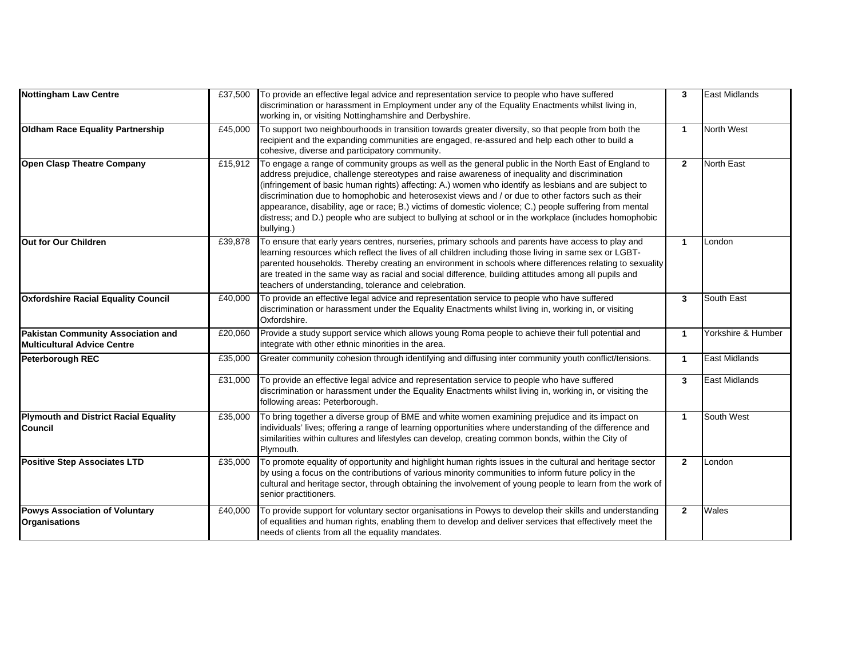| <b>Nottingham Law Centre</b>                                                    | £37,500 | To provide an effective legal advice and representation service to people who have suffered<br>discrimination or harassment in Employment under any of the Equality Enactments whilst living in,<br>working in, or visiting Nottinghamshire and Derbyshire.                                                                                                                                                                                                                                                                                                                                                                                              | 3              | <b>East Midlands</b> |
|---------------------------------------------------------------------------------|---------|----------------------------------------------------------------------------------------------------------------------------------------------------------------------------------------------------------------------------------------------------------------------------------------------------------------------------------------------------------------------------------------------------------------------------------------------------------------------------------------------------------------------------------------------------------------------------------------------------------------------------------------------------------|----------------|----------------------|
| <b>Oldham Race Equality Partnership</b>                                         | £45,000 | To support two neighbourhoods in transition towards greater diversity, so that people from both the<br>recipient and the expanding communities are engaged, re-assured and help each other to build a<br>cohesive, diverse and participatory community.                                                                                                                                                                                                                                                                                                                                                                                                  | $\mathbf{1}$   | North West           |
| <b>Open Clasp Theatre Company</b>                                               | £15,912 | To engage a range of community groups as well as the general public in the North East of England to<br>address prejudice, challenge stereotypes and raise awareness of inequality and discrimination<br>(infringement of basic human rights) affecting: A.) women who identify as lesbians and are subject to<br>discrimination due to homophobic and heterosexist views and / or due to other factors such as their<br>appearance, disability, age or race; B.) victims of domestic violence; C.) people suffering from mental<br>distress; and D.) people who are subject to bullying at school or in the workplace (includes homophobic<br>bullying.) | $\overline{2}$ | <b>North East</b>    |
| Out for Our Children                                                            | £39,878 | To ensure that early years centres, nurseries, primary schools and parents have access to play and<br>learning resources which reflect the lives of all children including those living in same sex or LGBT-<br>parented households. Thereby creating an environment in schools where differences relating to sexuality<br>are treated in the same way as racial and social difference, building attitudes among all pupils and<br>teachers of understanding, tolerance and celebration.                                                                                                                                                                 | $\mathbf{1}$   | London               |
| <b>Oxfordshire Racial Equality Council</b>                                      | £40,000 | To provide an effective legal advice and representation service to people who have suffered<br>discrimination or harassment under the Equality Enactments whilst living in, working in, or visiting<br>Oxfordshire.                                                                                                                                                                                                                                                                                                                                                                                                                                      | 3              | South East           |
| <b>Pakistan Community Association and</b><br><b>Multicultural Advice Centre</b> | £20,060 | Provide a study support service which allows young Roma people to achieve their full potential and<br>integrate with other ethnic minorities in the area.                                                                                                                                                                                                                                                                                                                                                                                                                                                                                                | $\mathbf{1}$   | Yorkshire & Humber   |
| <b>Peterborough REC</b>                                                         | £35,000 | Greater community cohesion through identifying and diffusing inter community youth conflict/tensions.                                                                                                                                                                                                                                                                                                                                                                                                                                                                                                                                                    | $\mathbf{1}$   | <b>East Midlands</b> |
|                                                                                 | £31,000 | To provide an effective legal advice and representation service to people who have suffered<br>discrimination or harassment under the Equality Enactments whilst living in, working in, or visiting the<br>following areas: Peterborough.                                                                                                                                                                                                                                                                                                                                                                                                                | 3              | <b>East Midlands</b> |
| <b>Plymouth and District Racial Equality</b><br><b>Council</b>                  | £35,000 | To bring together a diverse group of BME and white women examining prejudice and its impact on<br>individuals' lives; offering a range of learning opportunities where understanding of the difference and<br>similarities within cultures and lifestyles can develop, creating common bonds, within the City of<br>Plymouth.                                                                                                                                                                                                                                                                                                                            | $\mathbf{1}$   | South West           |
| <b>Positive Step Associates LTD</b>                                             | £35,000 | To promote equality of opportunity and highlight human rights issues in the cultural and heritage sector<br>by using a focus on the contributions of various minority communities to inform future policy in the<br>cultural and heritage sector, through obtaining the involvement of young people to learn from the work of<br>senior practitioners.                                                                                                                                                                                                                                                                                                   | $\overline{2}$ | London               |
| <b>Powys Association of Voluntary</b><br><b>Organisations</b>                   | £40,000 | To provide support for voluntary sector organisations in Powys to develop their skills and understanding<br>of equalities and human rights, enabling them to develop and deliver services that effectively meet the<br>needs of clients from all the equality mandates.                                                                                                                                                                                                                                                                                                                                                                                  | $\mathbf{2}$   | Wales                |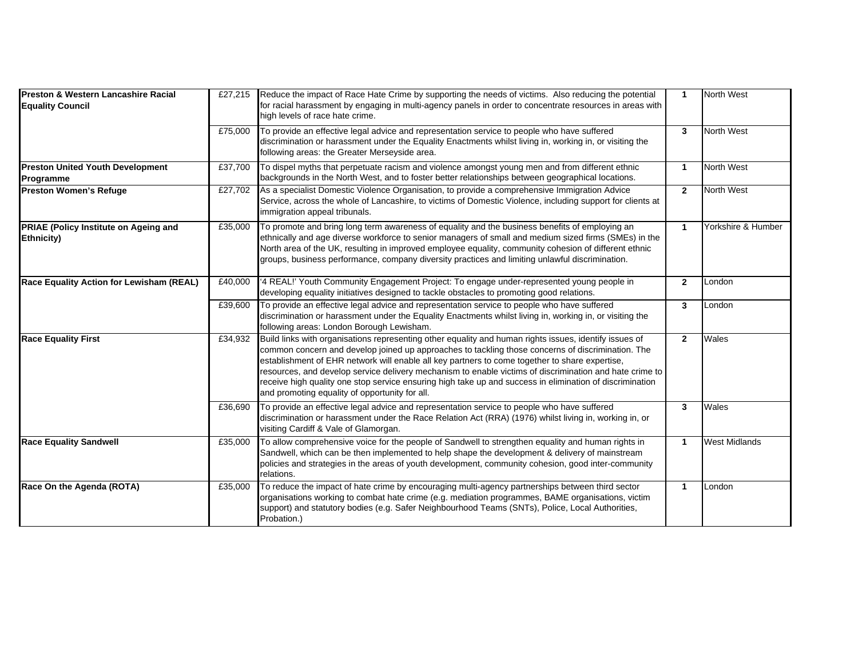| Preston & Western Lancashire Racial<br><b>Equality Council</b> |         | £27,215 Reduce the impact of Race Hate Crime by supporting the needs of victims. Also reducing the potential<br>for racial harassment by engaging in multi-agency panels in order to concentrate resources in areas with                                                                                                                                                                                                                                                                                                                                                               | $\mathbf{1}$   | North West           |
|----------------------------------------------------------------|---------|----------------------------------------------------------------------------------------------------------------------------------------------------------------------------------------------------------------------------------------------------------------------------------------------------------------------------------------------------------------------------------------------------------------------------------------------------------------------------------------------------------------------------------------------------------------------------------------|----------------|----------------------|
|                                                                |         | high levels of race hate crime.                                                                                                                                                                                                                                                                                                                                                                                                                                                                                                                                                        |                |                      |
|                                                                | £75,000 | To provide an effective legal advice and representation service to people who have suffered<br>discrimination or harassment under the Equality Enactments whilst living in, working in, or visiting the<br>following areas: the Greater Merseyside area.                                                                                                                                                                                                                                                                                                                               | 3              | North West           |
| <b>Preston United Youth Development</b><br>Programme           | £37,700 | To dispel myths that perpetuate racism and violence amongst young men and from different ethnic<br>backgrounds in the North West, and to foster better relationships between geographical locations.                                                                                                                                                                                                                                                                                                                                                                                   | $\mathbf{1}$   | North West           |
| <b>Preston Women's Refuge</b>                                  | £27,702 | As a specialist Domestic Violence Organisation, to provide a comprehensive Immigration Advice<br>Service, across the whole of Lancashire, to victims of Domestic Violence, including support for clients at<br>immigration appeal tribunals.                                                                                                                                                                                                                                                                                                                                           | $\overline{2}$ | <b>North West</b>    |
| <b>PRIAE (Policy Institute on Ageing and</b><br>Ethnicity)     | £35,000 | To promote and bring long term awareness of equality and the business benefits of employing an<br>ethnically and age diverse workforce to senior managers of small and medium sized firms (SMEs) in the<br>North area of the UK, resulting in improved employee equality, community cohesion of different ethnic<br>groups, business performance, company diversity practices and limiting unlawful discrimination.                                                                                                                                                                    | $\mathbf{1}$   | Yorkshire & Humber   |
| Race Equality Action for Lewisham (REAL)                       | £40,000 | '4 REAL!' Youth Community Engagement Project: To engage under-represented young people in<br>developing equality initiatives designed to tackle obstacles to promoting good relations.                                                                                                                                                                                                                                                                                                                                                                                                 | $\mathbf{2}$   | London               |
|                                                                | £39,600 | To provide an effective legal advice and representation service to people who have suffered<br>discrimination or harassment under the Equality Enactments whilst living in, working in, or visiting the<br>following areas: London Borough Lewisham.                                                                                                                                                                                                                                                                                                                                   | $\mathbf{3}$   | London               |
| <b>Race Equality First</b>                                     | £34,932 | Build links with organisations representing other equality and human rights issues, identify issues of<br>common concern and develop joined up approaches to tackling those concerns of discrimination. The<br>establishment of EHR network will enable all key partners to come together to share expertise,<br>resources, and develop service delivery mechanism to enable victims of discrimination and hate crime to<br>receive high quality one stop service ensuring high take up and success in elimination of discrimination<br>and promoting equality of opportunity for all. | $\overline{2}$ | Wales                |
|                                                                | £36,690 | To provide an effective legal advice and representation service to people who have suffered<br>discrimination or harassment under the Race Relation Act (RRA) (1976) whilst living in, working in, or<br>visiting Cardiff & Vale of Glamorgan.                                                                                                                                                                                                                                                                                                                                         | 3              | Wales                |
| <b>Race Equality Sandwell</b>                                  | £35,000 | To allow comprehensive voice for the people of Sandwell to strengthen equality and human rights in<br>Sandwell, which can be then implemented to help shape the development & delivery of mainstream<br>policies and strategies in the areas of youth development, community cohesion, good inter-community<br>relations.                                                                                                                                                                                                                                                              | $\mathbf{1}$   | <b>West Midlands</b> |
| Race On the Agenda (ROTA)                                      | £35,000 | To reduce the impact of hate crime by encouraging multi-agency partnerships between third sector<br>organisations working to combat hate crime (e.g. mediation programmes, BAME organisations, victim<br>support) and statutory bodies (e.g. Safer Neighbourhood Teams (SNTs), Police, Local Authorities,<br>Probation.)                                                                                                                                                                                                                                                               | $\mathbf{1}$   | London               |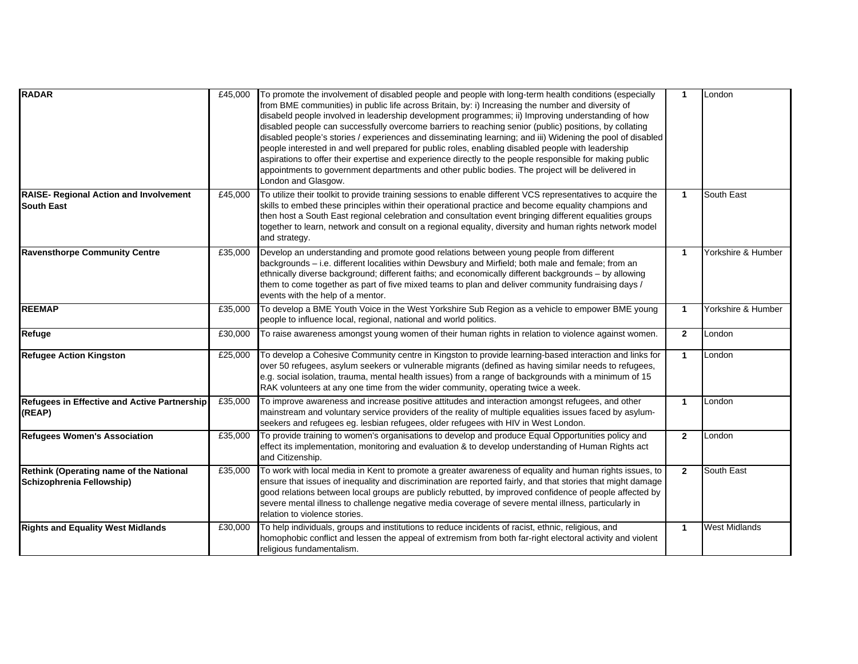| <b>RADAR</b>                                                         | £45,000 | To promote the involvement of disabled people and people with long-term health conditions (especially<br>from BME communities) in public life across Britain, by: i) Increasing the number and diversity of<br>disabeld people involved in leadership development programmes; ii) Improving understanding of how<br>disabled people can successfully overcome barriers to reaching senior (public) positions, by collating<br>disabled people's stories / experiences and disseminating learning; and iii) Widening the pool of disabled<br>people interested in and well prepared for public roles, enabling disabled people with leadership<br>aspirations to offer their expertise and experience directly to the people responsible for making public<br>appointments to government departments and other public bodies. The project will be delivered in<br>London and Glasgow. | $\mathbf{1}$ | London               |
|----------------------------------------------------------------------|---------|--------------------------------------------------------------------------------------------------------------------------------------------------------------------------------------------------------------------------------------------------------------------------------------------------------------------------------------------------------------------------------------------------------------------------------------------------------------------------------------------------------------------------------------------------------------------------------------------------------------------------------------------------------------------------------------------------------------------------------------------------------------------------------------------------------------------------------------------------------------------------------------|--------------|----------------------|
| <b>RAISE- Regional Action and Involvement</b><br><b>South East</b>   | £45,000 | To utilize their toolkit to provide training sessions to enable different VCS representatives to acquire the<br>skills to embed these principles within their operational practice and become equality champions and<br>then host a South East regional celebration and consultation event bringing different equalities groups<br>together to learn, network and consult on a regional equality, diversity and human rights network model<br>and strategy.                                                                                                                                                                                                                                                                                                                                                                                                                          | $\mathbf{1}$ | South East           |
| <b>Ravensthorpe Community Centre</b>                                 | £35,000 | Develop an understanding and promote good relations between young people from different<br>backgrounds - i.e. different localities within Dewsbury and Mirfield; both male and female; from an<br>ethnically diverse background; different faiths; and economically different backgrounds - by allowing<br>them to come together as part of five mixed teams to plan and deliver community fundraising days /<br>events with the help of a mentor.                                                                                                                                                                                                                                                                                                                                                                                                                                   | $\mathbf{1}$ | Yorkshire & Humber   |
| <b>REEMAP</b>                                                        | £35,000 | To develop a BME Youth Voice in the West Yorkshire Sub Region as a vehicle to empower BME young<br>people to influence local, regional, national and world politics.                                                                                                                                                                                                                                                                                                                                                                                                                                                                                                                                                                                                                                                                                                                 | $\mathbf{1}$ | Yorkshire & Humber   |
| Refuge                                                               | £30,000 | To raise awareness amongst young women of their human rights in relation to violence against women.                                                                                                                                                                                                                                                                                                                                                                                                                                                                                                                                                                                                                                                                                                                                                                                  | $\mathbf{2}$ | London               |
| <b>Refugee Action Kingston</b>                                       | £25,000 | To develop a Cohesive Community centre in Kingston to provide learning-based interaction and links for<br>over 50 refugees, asylum seekers or vulnerable migrants (defined as having similar needs to refugees,<br>e.g. social isolation, trauma, mental health issues) from a range of backgrounds with a minimum of 15<br>RAK volunteers at any one time from the wider community, operating twice a week.                                                                                                                                                                                                                                                                                                                                                                                                                                                                         | $\mathbf{1}$ | London               |
| Refugees in Effective and Active Partnership<br>(REAP)               | £35,000 | To improve awareness and increase positive attitudes and interaction amongst refugees, and other<br>mainstream and voluntary service providers of the reality of multiple equalities issues faced by asylum-<br>seekers and refugees eg. lesbian refugees, older refugees with HIV in West London.                                                                                                                                                                                                                                                                                                                                                                                                                                                                                                                                                                                   | $\mathbf{1}$ | London               |
| <b>Refugees Women's Association</b>                                  | £35,000 | To provide training to women's organisations to develop and produce Equal Opportunities policy and<br>effect its implementation, monitoring and evaluation & to develop understanding of Human Rights act<br>and Citizenship.                                                                                                                                                                                                                                                                                                                                                                                                                                                                                                                                                                                                                                                        | $\mathbf{2}$ | London               |
| Rethink (Operating name of the National<br>Schizophrenia Fellowship) | £35,000 | To work with local media in Kent to promote a greater awareness of equality and human rights issues, to<br>ensure that issues of inequality and discrimination are reported fairly, and that stories that might damage<br>good relations between local groups are publicly rebutted, by improved confidence of people affected by<br>severe mental illness to challenge negative media coverage of severe mental illness, particularly in<br>relation to violence stories.                                                                                                                                                                                                                                                                                                                                                                                                           | $\mathbf{2}$ | South East           |
| <b>Rights and Equality West Midlands</b>                             | £30,000 | To help individuals, groups and institutions to reduce incidents of racist, ethnic, religious, and<br>homophobic conflict and lessen the appeal of extremism from both far-right electoral activity and violent<br>religious fundamentalism.                                                                                                                                                                                                                                                                                                                                                                                                                                                                                                                                                                                                                                         | $\mathbf{1}$ | <b>West Midlands</b> |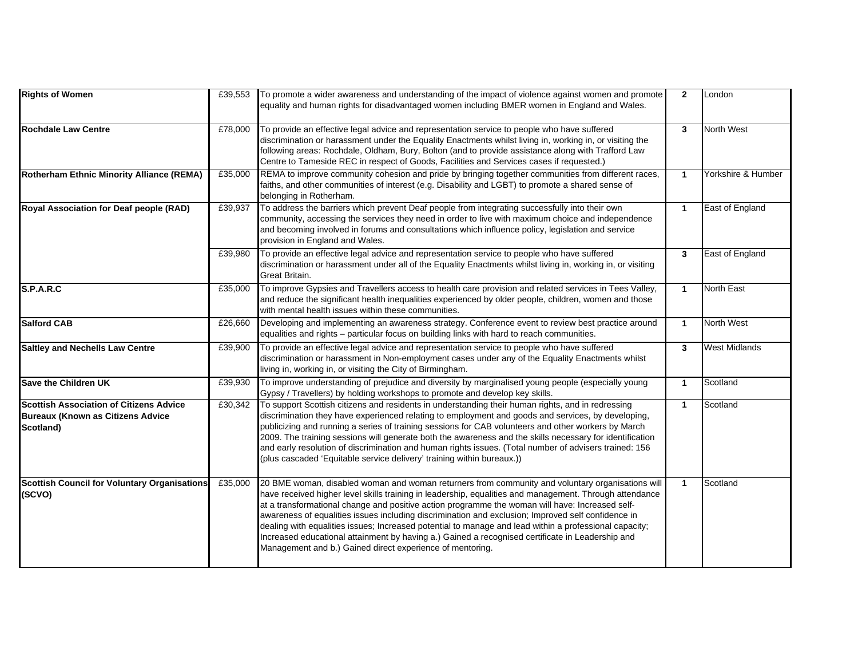| <b>Rights of Women</b>                                                                                  | £39,553 | To promote a wider awareness and understanding of the impact of violence against women and promote<br>equality and human rights for disadvantaged women including BMER women in England and Wales.                                                                                                                                                                                                                                                                                                                                                                                                                                                                                              | $\overline{2}$ | London               |
|---------------------------------------------------------------------------------------------------------|---------|-------------------------------------------------------------------------------------------------------------------------------------------------------------------------------------------------------------------------------------------------------------------------------------------------------------------------------------------------------------------------------------------------------------------------------------------------------------------------------------------------------------------------------------------------------------------------------------------------------------------------------------------------------------------------------------------------|----------------|----------------------|
| <b>Rochdale Law Centre</b>                                                                              | £78,000 | To provide an effective legal advice and representation service to people who have suffered<br>discrimination or harassment under the Equality Enactments whilst living in, working in, or visiting the<br>following areas: Rochdale, Oldham, Bury, Bolton (and to provide assistance along with Trafford Law<br>Centre to Tameside REC in respect of Goods, Facilities and Services cases if requested.)                                                                                                                                                                                                                                                                                       | $\overline{3}$ | North West           |
| <b>Rotherham Ethnic Minority Alliance (REMA)</b>                                                        | £35,000 | REMA to improve community cohesion and pride by bringing together communities from different races,<br>faiths, and other communities of interest (e.g. Disability and LGBT) to promote a shared sense of<br>belonging in Rotherham.                                                                                                                                                                                                                                                                                                                                                                                                                                                             | $\overline{1}$ | Yorkshire & Humber   |
| Royal Association for Deaf people (RAD)                                                                 | £39,937 | To address the barriers which prevent Deaf people from integrating successfully into their own<br>community, accessing the services they need in order to live with maximum choice and independence<br>and becoming involved in forums and consultations which influence policy, legislation and service<br>provision in England and Wales.                                                                                                                                                                                                                                                                                                                                                     | $\mathbf{1}$   | East of England      |
|                                                                                                         | £39,980 | To provide an effective legal advice and representation service to people who have suffered<br>discrimination or harassment under all of the Equality Enactments whilst living in, working in, or visiting<br>Great Britain.                                                                                                                                                                                                                                                                                                                                                                                                                                                                    | $\mathbf{3}$   | East of England      |
| S.P.A.R.C                                                                                               | £35,000 | To improve Gypsies and Travellers access to health care provision and related services in Tees Valley,<br>and reduce the significant health inequalities experienced by older people, children, women and those<br>with mental health issues within these communities.                                                                                                                                                                                                                                                                                                                                                                                                                          | $\mathbf{1}$   | <b>North East</b>    |
| <b>Salford CAB</b>                                                                                      | £26,660 | Developing and implementing an awareness strategy. Conference event to review best practice around<br>equalities and rights - particular focus on building links with hard to reach communities.                                                                                                                                                                                                                                                                                                                                                                                                                                                                                                | $\mathbf{1}$   | North West           |
| <b>Saltley and Nechells Law Centre</b>                                                                  | £39,900 | To provide an effective legal advice and representation service to people who have suffered<br>discrimination or harassment in Non-employment cases under any of the Equality Enactments whilst<br>living in, working in, or visiting the City of Birmingham.                                                                                                                                                                                                                                                                                                                                                                                                                                   | 3              | <b>West Midlands</b> |
| <b>Save the Children UK</b>                                                                             | £39,930 | To improve understanding of prejudice and diversity by marginalised young people (especially young<br>Gypsy / Travellers) by holding workshops to promote and develop key skills.                                                                                                                                                                                                                                                                                                                                                                                                                                                                                                               | $\overline{1}$ | Scotland             |
| <b>Scottish Association of Citizens Advice</b><br><b>Bureaux (Known as Citizens Advice</b><br>Scotland) | £30,342 | To support Scottish citizens and residents in understanding their human rights, and in redressing<br>discrimination they have experienced relating to employment and goods and services, by developing,<br>publicizing and running a series of training sessions for CAB volunteers and other workers by March<br>2009. The training sessions will generate both the awareness and the skills necessary for identification<br>and early resolution of discrimination and human rights issues. (Total number of advisers trained: 156<br>(plus cascaded 'Equitable service delivery' training within bureaux.))                                                                                  | $\mathbf{1}$   | Scotland             |
| <b>Scottish Council for Voluntary Organisations</b><br>(SCVO)                                           | £35,000 | 20 BME woman, disabled woman and woman returners from community and voluntary organisations will<br>have received higher level skills training in leadership, equalities and management. Through attendance<br>at a transformational change and positive action programme the woman will have: Increased self-<br>awareness of equalities issues including discrimination and exclusion; Improved self confidence in<br>dealing with equalities issues; Increased potential to manage and lead within a professional capacity;<br>Increased educational attainment by having a.) Gained a recognised certificate in Leadership and<br>Management and b.) Gained direct experience of mentoring. | $\mathbf{1}$   | Scotland             |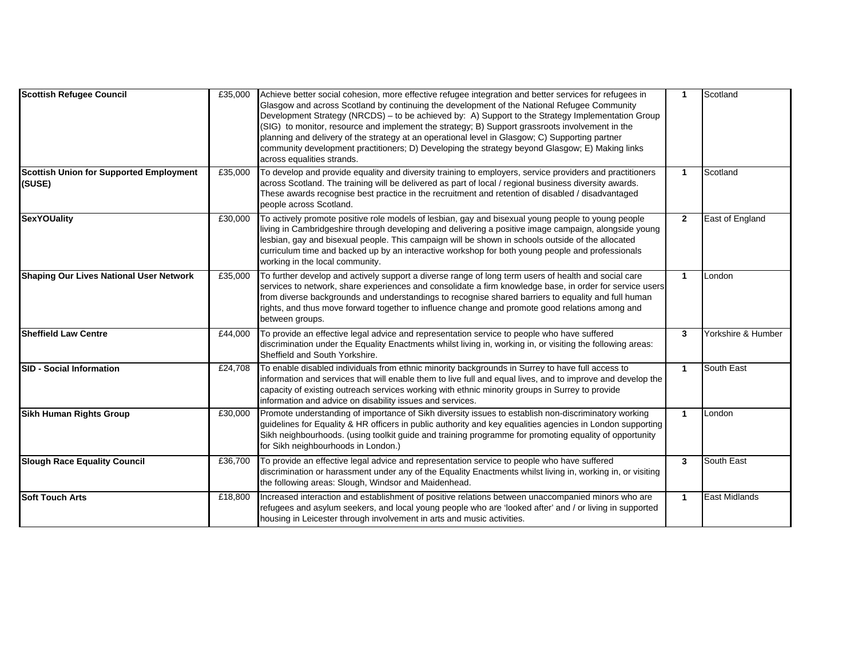| <b>Scottish Refugee Council</b>                          | £35,000 | Achieve better social cohesion, more effective refugee integration and better services for refugees in<br>Glasgow and across Scotland by continuing the development of the National Refugee Community<br>Development Strategy (NRCDS) - to be achieved by: A) Support to the Strategy Implementation Group<br>(SIG) to monitor, resource and implement the strategy; B) Support grassroots involvement in the<br>planning and delivery of the strategy at an operational level in Glasgow; C) Supporting partner<br>community development practitioners; D) Developing the strategy beyond Glasgow; E) Making links<br>across equalities strands. | $\mathbf{1}$ | Scotland             |
|----------------------------------------------------------|---------|---------------------------------------------------------------------------------------------------------------------------------------------------------------------------------------------------------------------------------------------------------------------------------------------------------------------------------------------------------------------------------------------------------------------------------------------------------------------------------------------------------------------------------------------------------------------------------------------------------------------------------------------------|--------------|----------------------|
| <b>Scottish Union for Supported Employment</b><br>(SUSE) | £35,000 | To develop and provide equality and diversity training to employers, service providers and practitioners<br>across Scotland. The training will be delivered as part of local / regional business diversity awards.<br>These awards recognise best practice in the recruitment and retention of disabled / disadvantaged<br>people across Scotland.                                                                                                                                                                                                                                                                                                | $\mathbf{1}$ | Scotland             |
| <b>SexYOUality</b>                                       | £30,000 | To actively promote positive role models of lesbian, gay and bisexual young people to young people<br>living in Cambridgeshire through developing and delivering a positive image campaign, alongside young<br>lesbian, gay and bisexual people. This campaign will be shown in schools outside of the allocated<br>curriculum time and backed up by an interactive workshop for both young people and professionals<br>working in the local community.                                                                                                                                                                                           | $\mathbf{2}$ | East of England      |
| <b>Shaping Our Lives National User Network</b>           | £35,000 | To further develop and actively support a diverse range of long term users of health and social care<br>services to network, share experiences and consolidate a firm knowledge base, in order for service users<br>from diverse backgrounds and understandings to recognise shared barriers to equality and full human<br>rights, and thus move forward together to influence change and promote good relations among and<br>between groups.                                                                                                                                                                                                     | $\mathbf{1}$ | London               |
| <b>Sheffield Law Centre</b>                              | £44,000 | To provide an effective legal advice and representation service to people who have suffered<br>discrimination under the Equality Enactments whilst living in, working in, or visiting the following areas:<br>Sheffield and South Yorkshire.                                                                                                                                                                                                                                                                                                                                                                                                      | 3            | Yorkshire & Humber   |
| <b>SID - Social Information</b>                          | £24,708 | To enable disabled individuals from ethnic minority backgrounds in Surrey to have full access to<br>information and services that will enable them to live full and equal lives, and to improve and develop the<br>capacity of existing outreach services working with ethnic minority groups in Surrey to provide<br>information and advice on disability issues and services.                                                                                                                                                                                                                                                                   | $\mathbf{1}$ | South East           |
| <b>Sikh Human Rights Group</b>                           | £30,000 | Promote understanding of importance of Sikh diversity issues to establish non-discriminatory working<br>guidelines for Equality & HR officers in public authority and key equalities agencies in London supporting<br>Sikh neighbourhoods. (using toolkit guide and training programme for promoting equality of opportunity<br>for Sikh neighbourhoods in London.)                                                                                                                                                                                                                                                                               | $\mathbf{1}$ | London               |
| <b>Slough Race Equality Council</b>                      | £36,700 | To provide an effective legal advice and representation service to people who have suffered<br>discrimination or harassment under any of the Equality Enactments whilst living in, working in, or visiting<br>the following areas: Slough, Windsor and Maidenhead.                                                                                                                                                                                                                                                                                                                                                                                | 3            | South East           |
| <b>Soft Touch Arts</b>                                   | £18,800 | Increased interaction and establishment of positive relations between unaccompanied minors who are<br>refugees and asylum seekers, and local young people who are 'looked after' and / or living in supported<br>housing in Leicester through involvement in arts and music activities.                                                                                                                                                                                                                                                                                                                                                           | $\mathbf{1}$ | <b>East Midlands</b> |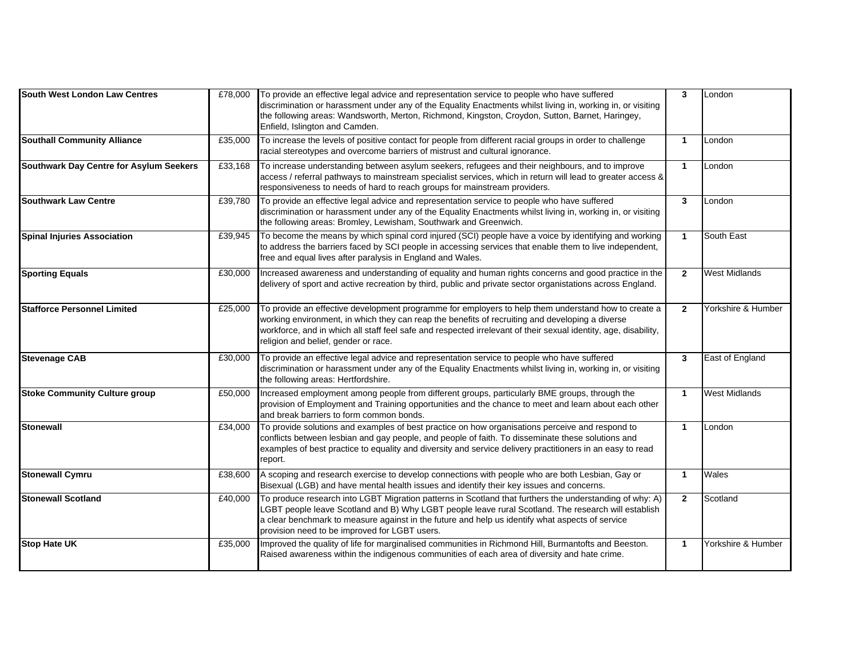| South West London Law Centres           | £78,000 | To provide an effective legal advice and representation service to people who have suffered<br>discrimination or harassment under any of the Equality Enactments whilst living in, working in, or visiting<br>the following areas: Wandsworth, Merton, Richmond, Kingston, Croydon, Sutton, Barnet, Haringey,<br>Enfield, Islington and Camden.                    | $\mathbf{3}$         | London               |
|-----------------------------------------|---------|--------------------------------------------------------------------------------------------------------------------------------------------------------------------------------------------------------------------------------------------------------------------------------------------------------------------------------------------------------------------|----------------------|----------------------|
| <b>Southall Community Alliance</b>      | £35,000 | To increase the levels of positive contact for people from different racial groups in order to challenge<br>racial stereotypes and overcome barriers of mistrust and cultural ignorance.                                                                                                                                                                           | $\blacktriangleleft$ | London               |
| Southwark Day Centre for Asylum Seekers | £33,168 | To increase understanding between asylum seekers, refugees and their neighbours, and to improve<br>access / referral pathways to mainstream specialist services, which in return will lead to greater access &<br>responsiveness to needs of hard to reach groups for mainstream providers.                                                                        | $\mathbf{1}$         | London               |
| <b>Southwark Law Centre</b>             | £39,780 | To provide an effective legal advice and representation service to people who have suffered<br>discrimination or harassment under any of the Equality Enactments whilst living in, working in, or visiting<br>the following areas: Bromley, Lewisham, Southwark and Greenwich.                                                                                     | $\mathbf{3}$         | London               |
| <b>Spinal Injuries Association</b>      | £39,945 | To become the means by which spinal cord injured (SCI) people have a voice by identifying and working<br>to address the barriers faced by SCI people in accessing services that enable them to live independent,<br>free and equal lives after paralysis in England and Wales.                                                                                     | $\mathbf{1}$         | South East           |
| <b>Sporting Equals</b>                  | £30,000 | Increased awareness and understanding of equality and human rights concerns and good practice in the<br>delivery of sport and active recreation by third, public and private sector organistations across England.                                                                                                                                                 | $\overline{2}$       | <b>West Midlands</b> |
| <b>Stafforce Personnel Limited</b>      | £25,000 | To provide an effective development programme for employers to help them understand how to create a<br>working environment, in which they can reap the benefits of recruiting and developing a diverse<br>workforce, and in which all staff feel safe and respected irrelevant of their sexual identity, age, disability,<br>religion and belief, gender or race.  | $\overline{2}$       | Yorkshire & Humber   |
| <b>Stevenage CAB</b>                    | £30,000 | To provide an effective legal advice and representation service to people who have suffered<br>discrimination or harassment under any of the Equality Enactments whilst living in, working in, or visiting<br>the following areas: Hertfordshire.                                                                                                                  | 3                    | East of England      |
| <b>Stoke Community Culture group</b>    | £50,000 | Increased employment among people from different groups, particularly BME groups, through the<br>provision of Employment and Training opportunities and the chance to meet and learn about each other<br>and break barriers to form common bonds.                                                                                                                  | $\mathbf{1}$         | <b>West Midlands</b> |
| <b>Stonewall</b>                        | £34,000 | To provide solutions and examples of best practice on how organisations perceive and respond to<br>conflicts between lesbian and gay people, and people of faith. To disseminate these solutions and<br>examples of best practice to equality and diversity and service delivery practitioners in an easy to read<br>report.                                       | $\mathbf{1}$         | London               |
| <b>Stonewall Cymru</b>                  | £38,600 | A scoping and research exercise to develop connections with people who are both Lesbian, Gay or<br>Bisexual (LGB) and have mental health issues and identify their key issues and concerns.                                                                                                                                                                        | $\mathbf{1}$         | Wales                |
| <b>Stonewall Scotland</b>               | £40,000 | To produce research into LGBT Migration patterns in Scotland that furthers the understanding of why: A)<br>LGBT people leave Scotland and B) Why LGBT people leave rural Scotland. The research will establish<br>a clear benchmark to measure against in the future and help us identify what aspects of service<br>provision need to be improved for LGBT users. | $\overline{2}$       | Scotland             |
| <b>Stop Hate UK</b>                     | £35,000 | Improved the quality of life for marginalised communities in Richmond Hill, Burmantofts and Beeston.<br>Raised awareness within the indigenous communities of each area of diversity and hate crime.                                                                                                                                                               | $\mathbf{1}$         | Yorkshire & Humber   |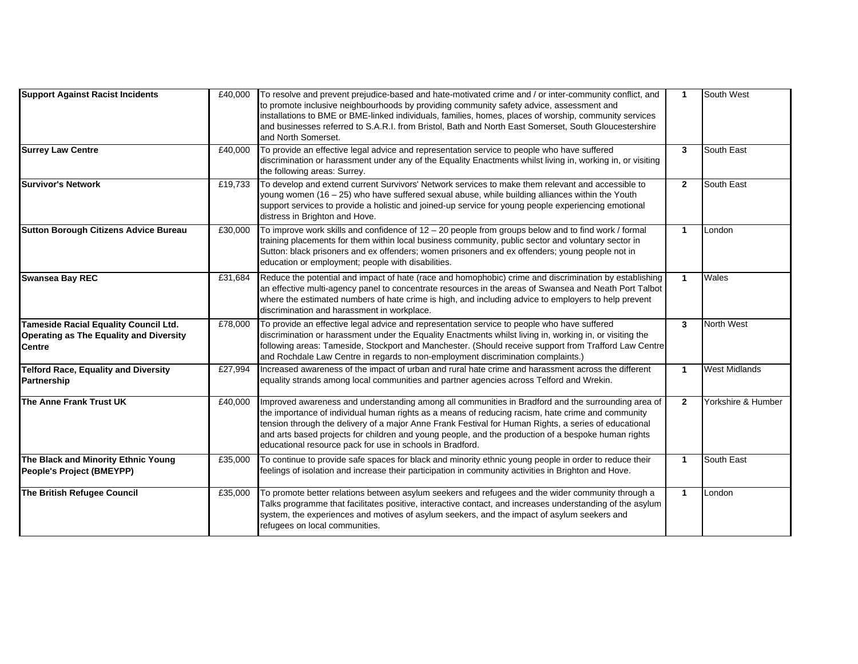| <b>Support Against Racist Incidents</b>                                                           | £40,000 | To resolve and prevent prejudice-based and hate-motivated crime and / or inter-community conflict, and<br>to promote inclusive neighbourhoods by providing community safety advice, assessment and<br>installations to BME or BME-linked individuals, families, homes, places of worship, community services<br>and businesses referred to S.A.R.I. from Bristol, Bath and North East Somerset, South Gloucestershire<br>and North Somerset.                                         | $\mathbf{1}$         | South West           |
|---------------------------------------------------------------------------------------------------|---------|--------------------------------------------------------------------------------------------------------------------------------------------------------------------------------------------------------------------------------------------------------------------------------------------------------------------------------------------------------------------------------------------------------------------------------------------------------------------------------------|----------------------|----------------------|
| <b>Surrey Law Centre</b>                                                                          | £40,000 | To provide an effective legal advice and representation service to people who have suffered<br>discrimination or harassment under any of the Equality Enactments whilst living in, working in, or visiting<br>the following areas: Surrey.                                                                                                                                                                                                                                           | 3                    | South East           |
| <b>Survivor's Network</b>                                                                         | £19,733 | To develop and extend current Survivors' Network services to make them relevant and accessible to<br>young women (16 - 25) who have suffered sexual abuse, while building alliances within the Youth<br>support services to provide a holistic and joined-up service for young people experiencing emotional<br>distress in Brighton and Hove.                                                                                                                                       | $\overline{2}$       | South East           |
| <b>Sutton Borough Citizens Advice Bureau</b>                                                      | £30,000 | To improve work skills and confidence of $12 - 20$ people from groups below and to find work / formal<br>training placements for them within local business community, public sector and voluntary sector in<br>Sutton: black prisoners and ex offenders; women prisoners and ex offenders; young people not in<br>education or employment; people with disabilities.                                                                                                                | $\mathbf{1}$         | London               |
| <b>Swansea Bay REC</b>                                                                            | £31,684 | Reduce the potential and impact of hate (race and homophobic) crime and discrimination by establishing<br>an effective multi-agency panel to concentrate resources in the areas of Swansea and Neath Port Talbot<br>where the estimated numbers of hate crime is high, and including advice to employers to help prevent<br>discrimination and harassment in workplace.                                                                                                              | $\blacktriangleleft$ | Wales                |
| Tameside Racial Equality Council Ltd.<br><b>Operating as The Equality and Diversity</b><br>Centre | £78,000 | To provide an effective legal advice and representation service to people who have suffered<br>discrimination or harassment under the Equality Enactments whilst living in, working in, or visiting the<br>following areas: Tameside, Stockport and Manchester. (Should receive support from Trafford Law Centre<br>and Rochdale Law Centre in regards to non-employment discrimination complaints.)                                                                                 | $\mathbf{3}$         | <b>North West</b>    |
| <b>Telford Race, Equality and Diversity</b><br>Partnership                                        | £27,994 | Increased awareness of the impact of urban and rural hate crime and harassment across the different<br>equality strands among local communities and partner agencies across Telford and Wrekin.                                                                                                                                                                                                                                                                                      | $\mathbf{1}$         | <b>West Midlands</b> |
| The Anne Frank Trust UK                                                                           | £40,000 | Improved awareness and understanding among all communities in Bradford and the surrounding area of<br>the importance of individual human rights as a means of reducing racism, hate crime and community<br>tension through the delivery of a major Anne Frank Festival for Human Rights, a series of educational<br>and arts based projects for children and young people, and the production of a bespoke human rights<br>educational resource pack for use in schools in Bradford. | $\mathbf{2}$         | Yorkshire & Humber   |
| The Black and Minority Ethnic Young<br>People's Project (BMEYPP)                                  | £35,000 | To continue to provide safe spaces for black and minority ethnic young people in order to reduce their<br>feelings of isolation and increase their participation in community activities in Brighton and Hove.                                                                                                                                                                                                                                                                       | $\mathbf{1}$         | South East           |
| The British Refugee Council                                                                       | £35,000 | To promote better relations between asylum seekers and refugees and the wider community through a<br>Talks programme that facilitates positive, interactive contact, and increases understanding of the asylum<br>system, the experiences and motives of asylum seekers, and the impact of asylum seekers and<br>refugees on local communities.                                                                                                                                      | $\mathbf{1}$         | London               |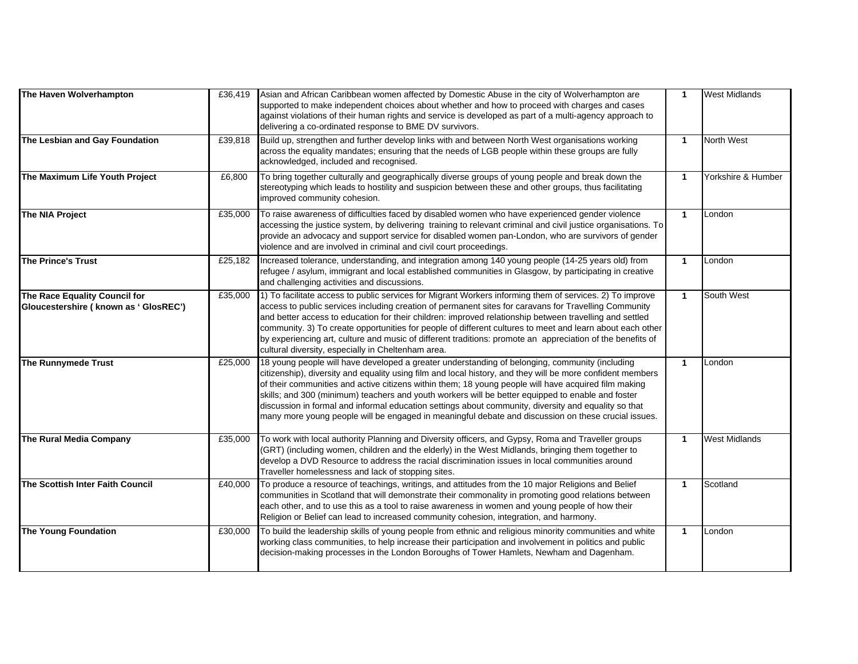| The Haven Wolverhampton                                                 | £36,419 | Asian and African Caribbean women affected by Domestic Abuse in the city of Wolverhampton are<br>supported to make independent choices about whether and how to proceed with charges and cases<br>against violations of their human rights and service is developed as part of a multi-agency approach to<br>delivering a co-ordinated response to BME DV survivors.                                                                                                                                                                                                                                                                     | $\mathbf{1}$         | <b>West Midlands</b> |
|-------------------------------------------------------------------------|---------|------------------------------------------------------------------------------------------------------------------------------------------------------------------------------------------------------------------------------------------------------------------------------------------------------------------------------------------------------------------------------------------------------------------------------------------------------------------------------------------------------------------------------------------------------------------------------------------------------------------------------------------|----------------------|----------------------|
| The Lesbian and Gay Foundation                                          | £39,818 | Build up, strengthen and further develop links with and between North West organisations working<br>across the equality mandates; ensuring that the needs of LGB people within these groups are fully<br>acknowledged, included and recognised.                                                                                                                                                                                                                                                                                                                                                                                          | $\mathbf{1}$         | <b>North West</b>    |
| The Maximum Life Youth Project                                          | £6,800  | To bring together culturally and geographically diverse groups of young people and break down the<br>stereotyping which leads to hostility and suspicion between these and other groups, thus facilitating<br>improved community cohesion.                                                                                                                                                                                                                                                                                                                                                                                               | $\mathbf{1}$         | Yorkshire & Humber   |
| The NIA Project                                                         | £35,000 | To raise awareness of difficulties faced by disabled women who have experienced gender violence<br>accessing the justice system, by delivering training to relevant criminal and civil justice organisations. To<br>provide an advocacy and support service for disabled women pan-London, who are survivors of gender<br>violence and are involved in criminal and civil court proceedings.                                                                                                                                                                                                                                             | $\blacktriangleleft$ | London               |
| The Prince's Trust                                                      | £25,182 | Increased tolerance, understanding, and integration among 140 young people (14-25 years old) from<br>refugee / asylum, immigrant and local established communities in Glasgow, by participating in creative<br>and challenging activities and discussions.                                                                                                                                                                                                                                                                                                                                                                               | $\blacktriangleleft$ | London               |
| The Race Equality Council for<br>Gloucestershire ( known as ' GlosREC') | £35,000 | 1) To facilitate access to public services for Migrant Workers informing them of services. 2) To improve<br>access to public services including creation of permanent sites for caravans for Travelling Community<br>and better access to education for their children: improved relationship between travelling and settled<br>community. 3) To create opportunities for people of different cultures to meet and learn about each other<br>by experiencing art, culture and music of different traditions: promote an appreciation of the benefits of<br>cultural diversity, especially in Cheltenham area.                            | $\mathbf{1}$         | South West           |
| The Runnymede Trust                                                     | £25,000 | 18 young people will have developed a greater understanding of belonging, community (including<br>citizenship), diversity and equality using film and local history, and they will be more confident members<br>of their communities and active citizens within them; 18 young people will have acquired film making<br>skills; and 300 (minimum) teachers and youth workers will be better equipped to enable and foster<br>discussion in formal and informal education settings about community, diversity and equality so that<br>many more young people will be engaged in meaningful debate and discussion on these crucial issues. | $\mathbf{1}$         | London               |
| The Rural Media Company                                                 | £35,000 | To work with local authority Planning and Diversity officers, and Gypsy, Roma and Traveller groups<br>(GRT) (including women, children and the elderly) in the West Midlands, bringing them together to<br>develop a DVD Resource to address the racial discrimination issues in local communities around<br>Traveller homelessness and lack of stopping sites.                                                                                                                                                                                                                                                                          | $\mathbf{1}$         | <b>West Midlands</b> |
| The Scottish Inter Faith Council                                        | £40,000 | To produce a resource of teachings, writings, and attitudes from the 10 major Religions and Belief<br>communities in Scotland that will demonstrate their commonality in promoting good relations between<br>each other, and to use this as a tool to raise awareness in women and young people of how their<br>Religion or Belief can lead to increased community cohesion, integration, and harmony.                                                                                                                                                                                                                                   | $\mathbf{1}$         | Scotland             |
| <b>The Young Foundation</b>                                             | £30,000 | To build the leadership skills of young people from ethnic and religious minority communities and white<br>working class communities, to help increase their participation and involvement in politics and public<br>decision-making processes in the London Boroughs of Tower Hamlets, Newham and Dagenham.                                                                                                                                                                                                                                                                                                                             | $\mathbf{1}$         | London               |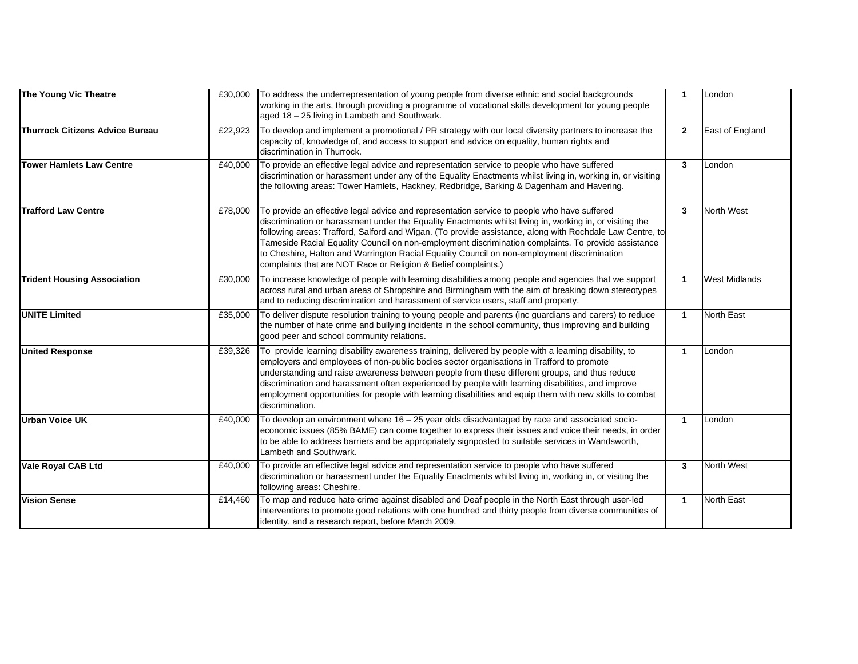| The Young Vic Theatre              | £30,000 | To address the underrepresentation of young people from diverse ethnic and social backgrounds<br>working in the arts, through providing a programme of vocational skills development for young people<br>aged 18 - 25 living in Lambeth and Southwark.                                                                                                                                                                                                                                                                                                                                      | $\mathbf{1}$ | London               |
|------------------------------------|---------|---------------------------------------------------------------------------------------------------------------------------------------------------------------------------------------------------------------------------------------------------------------------------------------------------------------------------------------------------------------------------------------------------------------------------------------------------------------------------------------------------------------------------------------------------------------------------------------------|--------------|----------------------|
| Thurrock Citizens Advice Bureau    | £22,923 | To develop and implement a promotional / PR strategy with our local diversity partners to increase the<br>capacity of, knowledge of, and access to support and advice on equality, human rights and<br>discrimination in Thurrock.                                                                                                                                                                                                                                                                                                                                                          | $\mathbf{2}$ | East of England      |
| <b>Tower Hamlets Law Centre</b>    | £40,000 | To provide an effective legal advice and representation service to people who have suffered<br>discrimination or harassment under any of the Equality Enactments whilst living in, working in, or visiting<br>the following areas: Tower Hamlets, Hackney, Redbridge, Barking & Dagenham and Havering.                                                                                                                                                                                                                                                                                      | 3            | London               |
| <b>Trafford Law Centre</b>         | £78,000 | To provide an effective legal advice and representation service to people who have suffered<br>discrimination or harassment under the Equality Enactments whilst living in, working in, or visiting the<br>following areas: Trafford, Salford and Wigan. (To provide assistance, along with Rochdale Law Centre, to<br>Tameside Racial Equality Council on non-employment discrimination complaints. To provide assistance<br>to Cheshire, Halton and Warrington Racial Equality Council on non-employment discrimination<br>complaints that are NOT Race or Religion & Belief complaints.) | 3            | <b>North West</b>    |
| <b>Trident Housing Association</b> | £30,000 | To increase knowledge of people with learning disabilities among people and agencies that we support<br>across rural and urban areas of Shropshire and Birmingham with the aim of breaking down stereotypes<br>and to reducing discrimination and harassment of service users, staff and property.                                                                                                                                                                                                                                                                                          | $\mathbf{1}$ | <b>West Midlands</b> |
| <b>UNITE Limited</b>               | £35,000 | To deliver dispute resolution training to young people and parents (inc guardians and carers) to reduce<br>the number of hate crime and bullying incidents in the school community, thus improving and building<br>good peer and school community relations.                                                                                                                                                                                                                                                                                                                                | $\mathbf{1}$ | <b>North East</b>    |
| <b>United Response</b>             | £39,326 | To provide learning disability awareness training, delivered by people with a learning disability, to<br>employers and employees of non-public bodies sector organisations in Trafford to promote<br>understanding and raise awareness between people from these different groups, and thus reduce<br>discrimination and harassment often experienced by people with learning disabilities, and improve<br>employment opportunities for people with learning disabilities and equip them with new skills to combat<br>discrimination.                                                       | $\mathbf{1}$ | London               |
| Urban Voice UK                     | £40,000 | To develop an environment where 16 - 25 year olds disadvantaged by race and associated socio-<br>economic issues (85% BAME) can come together to express their issues and voice their needs, in order<br>to be able to address barriers and be appropriately signposted to suitable services in Wandsworth,<br>Lambeth and Southwark.                                                                                                                                                                                                                                                       | $\mathbf{1}$ | London               |
| <b>Vale Royal CAB Ltd</b>          | £40,000 | To provide an effective legal advice and representation service to people who have suffered<br>discrimination or harassment under the Equality Enactments whilst living in, working in, or visiting the<br>following areas: Cheshire.                                                                                                                                                                                                                                                                                                                                                       | 3            | North West           |
| <b>Vision Sense</b>                | £14,460 | To map and reduce hate crime against disabled and Deaf people in the North East through user-led<br>interventions to promote good relations with one hundred and thirty people from diverse communities of<br>identity, and a research report, before March 2009.                                                                                                                                                                                                                                                                                                                           | $\mathbf{1}$ | <b>North East</b>    |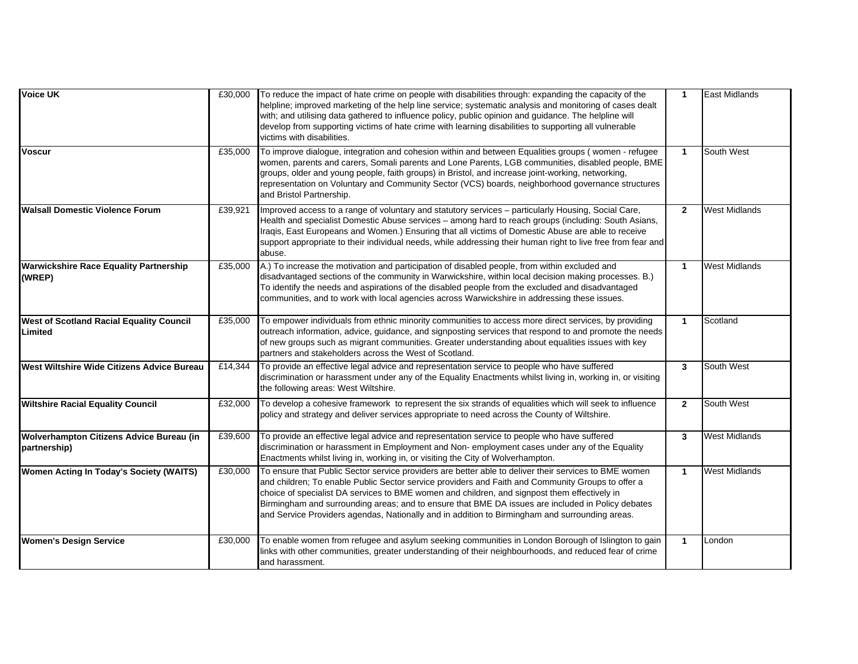| <b>Voice UK</b>                                          | £30,000 | To reduce the impact of hate crime on people with disabilities through: expanding the capacity of the<br>helpline; improved marketing of the help line service; systematic analysis and monitoring of cases dealt<br>with; and utilising data gathered to influence policy, public opinion and guidance. The helpline will<br>develop from supporting victims of hate crime with learning disabilities to supporting all vulnerable<br>victims with disabilities.                                                 | $\mathbf{1}$   | <b>East Midlands</b> |
|----------------------------------------------------------|---------|-------------------------------------------------------------------------------------------------------------------------------------------------------------------------------------------------------------------------------------------------------------------------------------------------------------------------------------------------------------------------------------------------------------------------------------------------------------------------------------------------------------------|----------------|----------------------|
| <b>Voscur</b>                                            | £35,000 | To improve dialogue, integration and cohesion within and between Equalities groups (women - refugee<br>women, parents and carers, Somali parents and Lone Parents, LGB communities, disabled people, BME<br>groups, older and young people, faith groups) in Bristol, and increase joint-working, networking,<br>representation on Voluntary and Community Sector (VCS) boards, neighborhood governance structures<br>and Bristol Partnership.                                                                    | $\mathbf{1}$   | South West           |
| <b>Walsall Domestic Violence Forum</b>                   | £39,921 | Improved access to a range of voluntary and statutory services - particularly Housing, Social Care,<br>Health and specialist Domestic Abuse services - among hard to reach groups (including: South Asians,<br>Iraqis, East Europeans and Women.) Ensuring that all victims of Domestic Abuse are able to receive<br>support appropriate to their individual needs, while addressing their human right to live free from fear and<br>abuse.                                                                       | $\overline{2}$ | <b>West Midlands</b> |
| <b>Warwickshire Race Equality Partnership</b><br>(WREP)  | £35,000 | A.) To increase the motivation and participation of disabled people, from within excluded and<br>disadvantaged sections of the community in Warwickshire, within local decision making processes. B.)<br>To identify the needs and aspirations of the disabled people from the excluded and disadvantaged<br>communities, and to work with local agencies across Warwickshire in addressing these issues.                                                                                                         | $\mathbf{1}$   | <b>West Midlands</b> |
| West of Scotland Racial Equality Council<br>Limited      | £35,000 | To empower individuals from ethnic minority communities to access more direct services, by providing<br>outreach information, advice, guidance, and signposting services that respond to and promote the needs<br>of new groups such as migrant communities. Greater understanding about equalities issues with key<br>partners and stakeholders across the West of Scotland.                                                                                                                                     | $\mathbf{1}$   | Scotland             |
| <b>West Wiltshire Wide Citizens Advice Bureau</b>        | £14,344 | To provide an effective legal advice and representation service to people who have suffered<br>discrimination or harassment under any of the Equality Enactments whilst living in, working in, or visiting<br>the following areas: West Wiltshire.                                                                                                                                                                                                                                                                | 3              | South West           |
| <b>Wiltshire Racial Equality Council</b>                 | £32,000 | To develop a cohesive framework to represent the six strands of equalities which will seek to influence<br>policy and strategy and deliver services appropriate to need across the County of Wiltshire.                                                                                                                                                                                                                                                                                                           | $\mathbf{2}$   | South West           |
| Wolverhampton Citizens Advice Bureau (in<br>partnership) | £39,600 | To provide an effective legal advice and representation service to people who have suffered<br>discrimination or harassment in Employment and Non-employment cases under any of the Equality<br>Enactments whilst living in, working in, or visiting the City of Wolverhampton.                                                                                                                                                                                                                                   | 3              | <b>West Midlands</b> |
| Women Acting In Today's Society (WAITS)                  | £30,000 | To ensure that Public Sector service providers are better able to deliver their services to BME women<br>and children; To enable Public Sector service providers and Faith and Community Groups to offer a<br>choice of specialist DA services to BME women and children, and signpost them effectively in<br>Birmingham and surrounding areas; and to ensure that BME DA issues are included in Policy debates<br>and Service Providers agendas, Nationally and in addition to Birmingham and surrounding areas. | $\mathbf{1}$   | <b>West Midlands</b> |
| <b>Women's Design Service</b>                            | £30,000 | To enable women from refugee and asylum seeking communities in London Borough of Islington to gain<br>links with other communities, greater understanding of their neighbourhoods, and reduced fear of crime<br>and harassment.                                                                                                                                                                                                                                                                                   | $\mathbf{1}$   | London               |